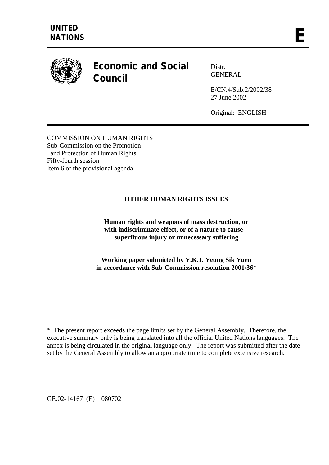

# **Economic and Social Council**

Distr. GENERAL

E/CN.4/Sub.2/2002/38 27 June 2002

Original: ENGLISH

COMMISSION ON HUMAN RIGHTS Sub-Commission on the Promotion and Protection of Human Rights Fifty-fourth session Item 6 of the provisional agenda

# **OTHER HUMAN RIGHTS ISSUES**

 **Human rights and weapons of mass destruction, or with indiscriminate effect, or of a nature to cause superfluous injury or unnecessary suffering** 

**Working paper submitted by Y.K.J. Yeung Sik Yuen in accordance with Sub-Commission resolution 2001/36**\*

GE.02-14167 (E) 080702

 $\overline{a}$ 

<sup>\*</sup> The present report exceeds the page limits set by the General Assembly. Therefore, the executive summary only is being translated into all the official United Nations languages. The annex is being circulated in the original language only. The report was submitted after the date set by the General Assembly to allow an appropriate time to complete extensive research.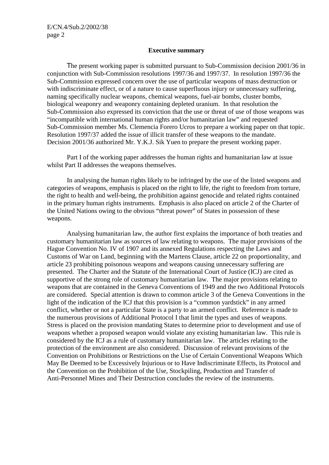#### **Executive summary**

 The present working paper is submitted pursuant to Sub-Commission decision 2001/36 in conjunction with Sub-Commission resolutions 1997/36 and 1997/37. In resolution 1997/36 the Sub-Commission expressed concern over the use of particular weapons of mass destruction or with indiscriminate effect, or of a nature to cause superfluous injury or unnecessary suffering, naming specifically nuclear weapons, chemical weapons, fuel-air bombs, cluster bombs, biological weaponry and weaponry containing depleted uranium. In that resolution the Sub-Commission also expressed its conviction that the use or threat of use of those weapons was "incompatible with international human rights and/or humanitarian law" and requested Sub-Commission member Ms. Clemencia Forero Ucros to prepare a working paper on that topic. Resolution 1997/37 added the issue of illicit transfer of these weapons to the mandate. Decision 2001/36 authorized Mr. Y.K.J. Sik Yuen to prepare the present working paper.

Part I of the working paper addresses the human rights and humanitarian law at issue whilst Part II addresses the weapons themselves.

 In analysing the human rights likely to be infringed by the use of the listed weapons and categories of weapons, emphasis is placed on the right to life, the right to freedom from torture, the right to health and well-being, the prohibition against genocide and related rights contained in the primary human rights instruments. Emphasis is also placed on article 2 of the Charter of the United Nations owing to the obvious "threat power" of States in possession of these weapons.

 Analysing humanitarian law, the author first explains the importance of both treaties and customary humanitarian law as sources of law relating to weapons. The major provisions of the Hague Convention No. IV of 1907 and its annexed Regulations respecting the Laws and Customs of War on Land, beginning with the Martens Clause, article 22 on proportionality, and article 23 prohibiting poisonous weapons and weapons causing unnecessary suffering are presented. The Charter and the Statute of the International Court of Justice (ICJ) are cited as supportive of the strong role of customary humanitarian law. The major provisions relating to weapons that are contained in the Geneva Conventions of 1949 and the two Additional Protocols are considered. Special attention is drawn to common article 3 of the Geneva Conventions in the light of the indication of the ICJ that this provision is a "common yardstick" in any armed conflict, whether or not a particular State is a party to an armed conflict. Reference is made to the numerous provisions of Additional Protocol I that limit the types and uses of weapons. Stress is placed on the provision mandating States to determine prior to development and use of weapons whether a proposed weapon would violate any existing humanitarian law. This rule is considered by the ICJ as a rule of customary humanitarian law. The articles relating to the protection of the environment are also considered. Discussion of relevant provisions of the Convention on Prohibitions or Restrictions on the Use of Certain Conventional Weapons Which May Be Deemed to be Excessively Injurious or to Have Indiscriminate Effects, its Protocol and the Convention on the Prohibition of the Use, Stockpiling, Production and Transfer of Anti-Personnel Mines and Their Destruction concludes the review of the instruments.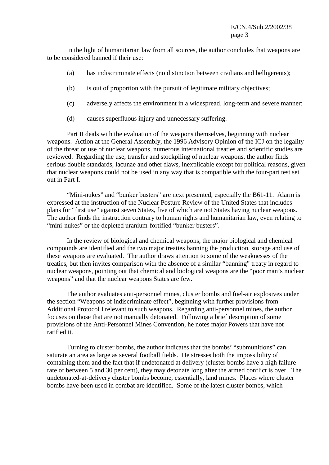In the light of humanitarian law from all sources, the author concludes that weapons are to be considered banned if their use:

- (a) has indiscriminate effects (no distinction between civilians and belligerents);
- (b) is out of proportion with the pursuit of legitimate military objectives;
- (c) adversely affects the environment in a widespread, long-term and severe manner;
- (d) causes superfluous injury and unnecessary suffering.

 Part II deals with the evaluation of the weapons themselves, beginning with nuclear weapons. Action at the General Assembly, the 1996 Advisory Opinion of the ICJ on the legality of the threat or use of nuclear weapons, numerous international treaties and scientific studies are reviewed. Regarding the use, transfer and stockpiling of nuclear weapons, the author finds serious double standards, lacunae and other flaws, inexplicable except for political reasons, given that nuclear weapons could not be used in any way that is compatible with the four-part test set out in Part I.

"Mini-nukes" and "bunker busters" are next presented, especially the B61-11. Alarm is expressed at the instruction of the Nuclear Posture Review of the United States that includes plans for "first use" against seven States, five of which are not States having nuclear weapons. The author finds the instruction contrary to human rights and humanitarian law, even relating to "mini-nukes" or the depleted uranium-fortified "bunker busters".

 In the review of biological and chemical weapons, the major biological and chemical compounds are identified and the two major treaties banning the production, storage and use of these weapons are evaluated. The author draws attention to some of the weaknesses of the treaties, but then invites comparison with the absence of a similar "banning" treaty in regard to nuclear weapons, pointing out that chemical and biological weapons are the "poor man's nuclear weapons" and that the nuclear weapons States are few.

 The author evaluates anti-personnel mines, cluster bombs and fuel-air explosives under the section "Weapons of indiscriminate effect", beginning with further provisions from Additional Protocol I relevant to such weapons. Regarding anti-personnel mines, the author focuses on those that are not manually detonated. Following a brief description of some provisions of the Anti-Personnel Mines Convention, he notes major Powers that have not ratified it.

 Turning to cluster bombs, the author indicates that the bombs' "submunitions" can saturate an area as large as several football fields. He stresses both the impossibility of containing them and the fact that if undetonated at delivery (cluster bombs have a high failure rate of between 5 and 30 per cent), they may detonate long after the armed conflict is over. The undetonated-at-delivery cluster bombs become, essentially, land mines. Places where cluster bombs have been used in combat are identified. Some of the latest cluster bombs, which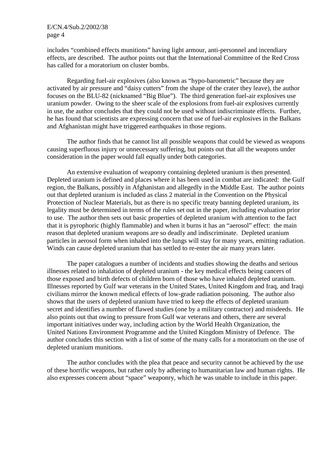includes "combined effects munitions" having light armour, anti-personnel and incendiary effects, are described. The author points out that the International Committee of the Red Cross has called for a moratorium on cluster bombs.

 Regarding fuel-air explosives (also known as "hypo-barometric" because they are activated by air pressure and "daisy cutters" from the shape of the crater they leave), the author focuses on the BLU-82 (nicknamed "Big Blue"). The third generation fuel-air explosives use uranium powder. Owing to the sheer scale of the explosions from fuel-air explosives currently in use, the author concludes that they could not be used without indiscriminate effects. Further, he has found that scientists are expressing concern that use of fuel-air explosives in the Balkans and Afghanistan might have triggered earthquakes in those regions.

 The author finds that he cannot list all possible weapons that could be viewed as weapons causing superfluous injury or unnecessary suffering, but points out that all the weapons under consideration in the paper would fall equally under both categories.

An extensive evaluation of weaponry containing depleted uranium is then presented. Depleted uranium is defined and places where it has been used in combat are indicated: the Gulf region, the Balkans, possibly in Afghanistan and allegedly in the Middle East. The author points out that depleted uranium is included as class 2 material in the Convention on the Physical Protection of Nuclear Materials, but as there is no specific treaty banning depleted uranium, its legality must be determined in terms of the rules set out in the paper, including evaluation prior to use. The author then sets out basic properties of depleted uranium with attention to the fact that it is pyrophoric (highly flammable) and when it burns it has an "aerosol" effect: the main reason that depleted uranium weapons are so deadly and indiscriminate. Depleted uranium particles in aerosol form when inhaled into the lungs will stay for many years, emitting radiation. Winds can cause depleted uranium that has settled to re-enter the air many years later.

 The paper catalogues a number of incidents and studies showing the deaths and serious illnesses related to inhalation of depleted uranium - the key medical effects being cancers of those exposed and birth defects of children born of those who have inhaled depleted uranium. Illnesses reported by Gulf war veterans in the United States, United Kingdom and Iraq, and Iraqi civilians mirror the known medical effects of low-grade radiation poisoning. The author also shows that the users of depleted uranium have tried to keep the effects of depleted uranium secret and identifies a number of flawed studies (one by a military contractor) and misdeeds. He also points out that owing to pressure from Gulf war veterans and others, there are several important initiatives under way, including action by the World Health Organization, the United Nations Environment Programme and the United Kingdom Ministry of Defence. The author concludes this section with a list of some of the many calls for a moratorium on the use of depleted uranium munitions.

 The author concludes with the plea that peace and security cannot be achieved by the use of these horrific weapons, but rather only by adhering to humanitarian law and human rights. He also expresses concern about "space" weaponry, which he was unable to include in this paper.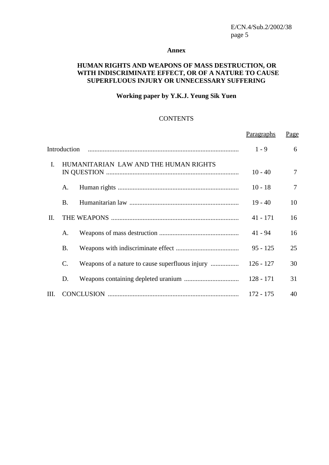#### **Annex**

# **HUMAN RIGHTS AND WEAPONS OF MASS DESTRUCTION, OR WITH INDISCRIMINATE EFFECT, OR OF A NATURE TO CAUSE SUPERFLUOUS INJURY OR UNNECESSARY SUFFERING**

# **Working paper by Y.K.J. Yeung Sik Yuen**

#### **CONTENTS**

|              |                                       |  | Paragraphs  | Page   |
|--------------|---------------------------------------|--|-------------|--------|
| Introduction |                                       |  | $1 - 9$     | 6      |
| L.           | HUMANITARIAN LAW AND THE HUMAN RIGHTS |  | $10 - 40$   | $\tau$ |
|              | A.                                    |  | $10 - 18$   | $\tau$ |
|              | B.                                    |  | $19 - 40$   | 10     |
| II.          |                                       |  | $41 - 171$  | 16     |
|              | A.                                    |  | $41 - 94$   | 16     |
|              | <b>B.</b>                             |  | $95 - 125$  | 25     |
|              | $C_{\cdot}$                           |  | $126 - 127$ | 30     |
|              | D.                                    |  | $128 - 171$ | 31     |
| III.         |                                       |  | $172 - 175$ | 40     |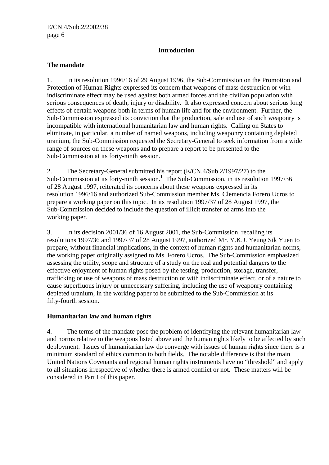# **Introduction**

# **The mandate**

1. In its resolution 1996/16 of 29 August 1996, the Sub-Commission on the Promotion and Protection of Human Rights expressed its concern that weapons of mass destruction or with indiscriminate effect may be used against both armed forces and the civilian population with serious consequences of death, injury or disability. It also expressed concern about serious long effects of certain weapons both in terms of human life and for the environment. Further, the Sub-Commission expressed its conviction that the production, sale and use of such weaponry is incompatible with international humanitarian law and human rights. Calling on States to eliminate, in particular, a number of named weapons, including weaponry containing depleted uranium, the Sub-Commission requested the Secretary-General to seek information from a wide range of sources on these weapons and to prepare a report to be presented to the Sub-Commission at its forty-ninth session.

2. The Secretary-General submitted his report (E/CN.4/Sub.2/1997/27) to the Sub-Commission at its forty-ninth session.**<sup>1</sup>** The Sub-Commission, in its resolution 1997/36 of 28 August 1997, reiterated its concerns about these weapons expressed in its resolution 1996/16 and authorized Sub-Commission member Ms. Clemencia Forero Ucros to prepare a working paper on this topic. In its resolution 1997/37 of 28 August 1997, the Sub-Commission decided to include the question of illicit transfer of arms into the working paper.

3. In its decision 2001/36 of 16 August 2001, the Sub-Commission, recalling its resolutions 1997/36 and 1997/37 of 28 August 1997, authorized Mr. Y.K.J. Yeung Sik Yuen to prepare, without financial implications, in the context of human rights and humanitarian norms, the working paper originally assigned to Ms. Forero Ucros. The Sub-Commission emphasized assessing the utility, scope and structure of a study on the real and potential dangers to the effective enjoyment of human rights posed by the testing, production, storage, transfer, trafficking or use of weapons of mass destruction or with indiscriminate effect, or of a nature to cause superfluous injury or unnecessary suffering, including the use of weaponry containing depleted uranium, in the working paper to be submitted to the Sub-Commission at its fifty-fourth session.

# **Humanitarian law and human rights**

4. The terms of the mandate pose the problem of identifying the relevant humanitarian law and norms relative to the weapons listed above and the human rights likely to be affected by such deployment. Issues of humanitarian law do converge with issues of human rights since there is a minimum standard of ethics common to both fields. The notable difference is that the main United Nations Covenants and regional human rights instruments have no "threshold" and apply to all situations irrespective of whether there is armed conflict or not. These matters will be considered in Part I of this paper.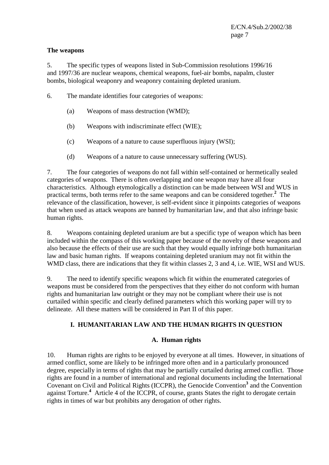#### **The weapons**

5. The specific types of weapons listed in Sub-Commission resolutions 1996/16 and 1997/36 are nuclear weapons, chemical weapons, fuel-air bombs, napalm, cluster bombs, biological weaponry and weaponry containing depleted uranium.

- 6. The mandate identifies four categories of weapons:
	- (a) Weapons of mass destruction (WMD);
	- (b) Weapons with indiscriminate effect (WIE);
	- (c) Weapons of a nature to cause superfluous injury (WSI);
	- (d) Weapons of a nature to cause unnecessary suffering (WUS).

7. The four categories of weapons do not fall within self-contained or hermetically sealed categories of weapons. There is often overlapping and one weapon may have all four characteristics. Although etymologically a distinction can be made between WSI and WUS in practical terms, both terms refer to the same weapons and can be considered together.**<sup>2</sup>** The relevance of the classification, however, is self-evident since it pinpoints categories of weapons that when used as attack weapons are banned by humanitarian law, and that also infringe basic human rights.

8. Weapons containing depleted uranium are but a specific type of weapon which has been included within the compass of this working paper because of the novelty of these weapons and also because the effects of their use are such that they would equally infringe both humanitarian law and basic human rights. If weapons containing depleted uranium may not fit within the WMD class, there are indications that they fit within classes 2, 3 and 4, i.e. WIE, WSI and WUS.

9. The need to identify specific weapons which fit within the enumerated categories of weapons must be considered from the perspectives that they either do not conform with human rights and humanitarian law outright or they may not be compliant where their use is not curtailed within specific and clearly defined parameters which this working paper will try to delineate. All these matters will be considered in Part II of this paper.

## **I. HUMANITARIAN LAW AND THE HUMAN RIGHTS IN QUESTION**

#### **A. Human rights**

10. Human rights are rights to be enjoyed by everyone at all times. However, in situations of armed conflict, some are likely to be infringed more often and in a particularly pronounced degree, especially in terms of rights that may be partially curtailed during armed conflict. Those rights are found in a number of international and regional documents including the International Covenant on Civil and Political Rights (ICCPR), the Genocide Convention<sup>3</sup> and the Convention against Torture.**<sup>4</sup>** Article 4 of the ICCPR, of course, grants States the right to derogate certain rights in times of war but prohibits any derogation of other rights.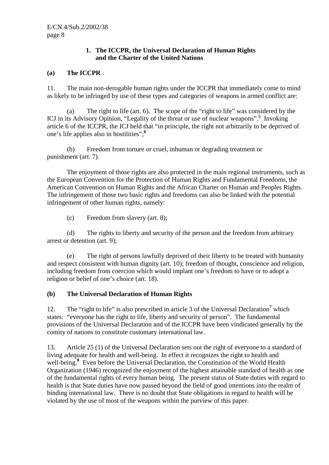## **1. The ICCPR, the Universal Declaration of Human Rights and the Charter of the United Nations**

## **(a) The ICCPR**

11. The main non-derogable human rights under the ICCPR that immediately come to mind as likely to be infringed by use of these types and categories of weapons in armed conflict are:

 (a) The right to life (art. 6). The scope of the "right to life" was considered by the ICJ in its Advisory Opinion, "Legality of the threat or use of nuclear weapons".<sup>5</sup> Invoking article 6 of the ICCPR, the ICJ held that "in principle, the right not arbitrarily to be deprived of one's life applies also in hostilities";**<sup>6</sup>**

 (b) Freedom from torture or cruel, inhuman or degrading treatment or punishment (art. 7).

 The enjoyment of those rights are also protected in the main regional instruments, such as the European Convention for the Protection of Human Rights and Fundamental Freedoms, the American Convention on Human Rights and the African Charter on Human and Peoples Rights. The infringement of those two basic rights and freedoms can also be linked with the potential infringement of other human rights, namely:

(c) Freedom from slavery (art. 8);

 (d) The rights to liberty and security of the person and the freedom from arbitrary arrest or detention (art. 9);

 (e) The right of persons lawfully deprived of their liberty to be treated with humanity and respect consistent with human dignity (art. 10); freedom of thought, conscience and religion, including freedom from coercion which would implant one's freedom to have or to adopt a religion or belief of one's choice (art. 18).

## **(b) The Universal Declaration of Human Rights**

12. The "right to life" is also prescribed in article 3 of the Universal Declaration<sup>7</sup> which states: "everyone has the right to life, liberty and security of person".The fundamental provisions of the Universal Declaration and of the ICCPR have been vindicated generally by the comity of nations to constitute customary international law.

13. Article 25 (1) of the Universal Declaration sets out the right of everyone to a standard of living adequate for health and well-being. In effect it recognizes the right to health and well-being.<sup>8</sup> Even before the Universal Declaration, the Constitution of the World Health Organization (1946) recognized the enjoyment of the highest attainable standard of health as one of the fundamental rights of every human being. The present status of State duties with regard to health is that State duties have now passed beyond the field of good intentions into the realm of binding international law. There is no doubt that State obligations in regard to health will be violated by the use of most of the weapons within the purview of this paper.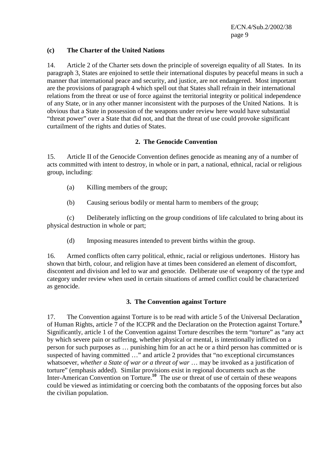## **(c) The Charter of the United Nations**

14. Article 2 of the Charter sets down the principle of sovereign equality of all States. In its paragraph 3, States are enjoined to settle their international disputes by peaceful means in such a manner that international peace and security, and justice, are not endangered. Most important are the provisions of paragraph 4 which spell out that States shall refrain in their international relations from the threat or use of force against the territorial integrity or political independence of any State, or in any other manner inconsistent with the purposes of the United Nations. It is obvious that a State in possession of the weapons under review here would have substantial "threat power" over a State that did not, and that the threat of use could provoke significant curtailment of the rights and duties of States.

#### **2. The Genocide Convention**

15. Article II of the Genocide Convention defines genocide as meaning any of a number of acts committed with intent to destroy, in whole or in part, a national, ethnical, racial or religious group, including:

- (a) Killing members of the group;
- (b) Causing serious bodily or mental harm to members of the group;

 (c) Deliberately inflicting on the group conditions of life calculated to bring about its physical destruction in whole or part;

(d) Imposing measures intended to prevent births within the group.

16. Armed conflicts often carry political, ethnic, racial or religious undertones. History has shown that birth, colour, and religion have at times been considered an element of discomfort, discontent and division and led to war and genocide. Deliberate use of weaponry of the type and category under review when used in certain situations of armed conflict could be characterized as genocide.

## **3. The Convention against Torture**

17. The Convention against Torture is to be read with article 5 of the Universal Declaration of Human Rights, article 7 of the ICCPR and the Declaration on the Protection against Torture.**<sup>9</sup>** Significantly, article 1 of the Convention against Torture describes the term "torture" as "any act by which severe pain or suffering, whether physical or mental, is intentionally inflicted on a person for such purposes as … punishing him for an act he or a third person has committed or is suspected of having committed …" and article 2 provides that "no exceptional circumstances whatsoever, *whether a State of war or a threat of war* … may be invoked as a justification of torture" (emphasis added). Similar provisions exist in regional documents such as the Inter-American Convention on Torture.**<sup>10</sup>** The use or threat of use of certain of these weapons could be viewed as intimidating or coercing both the combatants of the opposing forces but also the civilian population.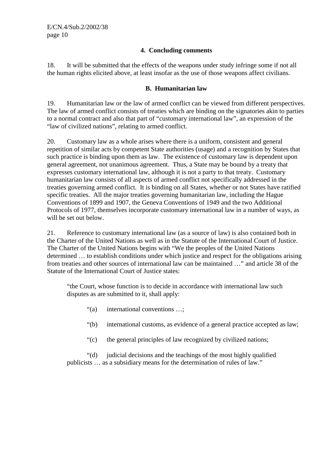## **4. Concluding comments**

18. It will be submitted that the effects of the weapons under study infringe some if not all the human rights elicited above, at least insofar as the use of those weapons affect civilians.

#### **B. Humanitarian law**

19. Humanitarian law or the law of armed conflict can be viewed from different perspectives. The law of armed conflict consists of treaties which are binding on the signatories akin to parties to a normal contract and also that part of "customary international law", an expression of the "law of civilized nations"*,* relating to armed conflict.

20. Customary law as a whole arises where there is a uniform, consistent and general repetition of similar acts by competent State authorities (usage) and a recognition by States that such practice is binding upon them as law. The existence of customary law is dependent upon general agreement, not unanimous agreement. Thus, a State may be bound by a treaty that expresses customary international law, although it is not a party to that treaty. Customary humanitarian law consists of all aspects of armed conflict not specifically addressed in the treaties governing armed conflict. It is binding on all States, whether or not States have ratified specific treaties. All the major treaties governing humanitarian law, including the Hague Conventions of 1899 and 1907, the Geneva Conventions of 1949 and the two Additional Protocols of 1977, themselves incorporate customary international law in a number of ways, as will be set out below.

21. Reference to customary international law (as a source of law) is also contained both in the Charter of the United Nations as well as in the Statute of the International Court of Justice. The Charter of the United Nations begins with "We the peoples of the United Nations determined … to establish conditions under which justice and respect for the obligations arising from treaties and other sources of international law can be maintained …" and article 38 of the Statute of the International Court of Justice states:

"the Court, whose function is to decide in accordance with international law such disputes as are submitted to it, shall apply:

- "(a) international conventions …;
- "(b) international customs, as evidence of a general practice accepted as law;
- "(c) the general principles of law recognized by civilized nations;

 "(d) judicial decisions and the teachings of the most highly qualified publicists … as a subsidiary means for the determination of rules of law."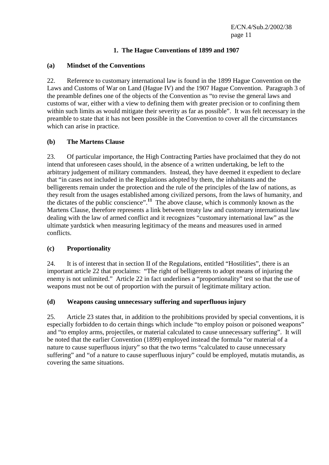## **1. The Hague Conventions of 1899 and 1907**

## **(a) Mindset of the Conventions**

22. Reference to customary international law is found in the 1899 Hague Convention on the Laws and Customs of War on Land (Hague IV) and the 1907 Hague Convention. Paragraph 3 of the preamble defines one of the objects of the Convention as "to revise the general laws and customs of war, either with a view to defining them with greater precision or to confining them within such limits as would mitigate their severity as far as possible". It was felt necessary in the preamble to state that it has not been possible in the Convention to cover all the circumstances which can arise in practice.

## **(b) The Martens Clause**

23. Of particular importance, the High Contracting Parties have proclaimed that they do not intend that unforeseen cases should, in the absence of a written undertaking, be left to the arbitrary judgement of military commanders. Instead, they have deemed it expedient to declare that "in cases not included in the Regulations adopted by them, the inhabitants and the belligerents remain under the protection and the rule of the principles of the law of nations, as they result from the usages established among civilized persons, from the laws of humanity, and the dictates of the public conscience".**<sup>11</sup>** The above clause, which is commonly known as the Martens Clause, therefore represents a link between treaty law and customary international law dealing with the law of armed conflict and it recognizes "customary international law" as the ultimate yardstick when measuring legitimacy of the means and measures used in armed conflicts.

## **(c) Proportionality**

24. It is of interest that in section II of the Regulations, entitled "Hostilities", there is an important article 22 that proclaims: "The right of belligerents to adopt means of injuring the enemy is not unlimited." Article 22 in fact underlines a "proportionality" test so that the use of weapons must not be out of proportion with the pursuit of legitimate military action.

## **(d) Weapons causing unnecessary suffering and superfluous injury**

25. Article 23 states that, in addition to the prohibitions provided by special conventions, it is especially forbidden to do certain things which include "to employ poison or poisoned weapons" and "to employ arms, projectiles, or material calculated to cause unnecessary suffering". It will be noted that the earlier Convention (1899) employed instead the formula "or material of a nature to cause superfluous injury" so that the two terms "calculated to cause unnecessary suffering" and "of a nature to cause superfluous injury" could be employed, mutatis mutandis, as covering the same situations.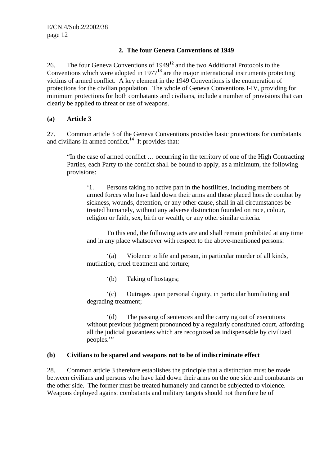## **2. The four Geneva Conventions of 1949**

26. The four Geneva Conventions of 1949**<sup>12</sup>** and the two Additional Protocols to the Conventions which were adopted in 1977**<sup>13</sup>** are the major international instruments protecting victims of armed conflict. A key element in the 1949 Conventions is the enumeration of protections for the civilian population. The whole of Geneva Conventions I-IV, providing for minimum protections for both combatants and civilians, include a number of provisions that can clearly be applied to threat or use of weapons.

## **(a) Article 3**

27. Common article 3 of the Geneva Conventions provides basic protections for combatants and civilians in armed conflict.**<sup>14</sup>** It provides that:

"In the case of armed conflict … occurring in the territory of one of the High Contracting Parties, each Party to the conflict shall be bound to apply, as a minimum, the following provisions:

'1. Persons taking no active part in the hostilities, including members of armed forces who have laid down their arms and those placed hors de combat by sickness, wounds, detention, or any other cause, shall in all circumstances be treated humanely, without any adverse distinction founded on race, colour, religion or faith, sex, birth or wealth, or any other similar criteria.

 To this end, the following acts are and shall remain prohibited at any time and in any place whatsoever with respect to the above-mentioned persons:

 '(a) Violence to life and person, in particular murder of all kinds, mutilation, cruel treatment and torture;

'(b) Taking of hostages;

 '(c) Outrages upon personal dignity, in particular humiliating and degrading treatment;

 '(d) The passing of sentences and the carrying out of executions without previous judgment pronounced by a regularly constituted court, affording all the judicial guarantees which are recognized as indispensable by civilized peoples."

#### **(b) Civilians to be spared and weapons not to be of indiscriminate effect**

28. Common article 3 therefore establishes the principle that a distinction must be made between civilians and persons who have laid down their arms on the one side and combatants on the other side. The former must be treated humanely and cannot be subjected to violence. Weapons deployed against combatants and military targets should not therefore be of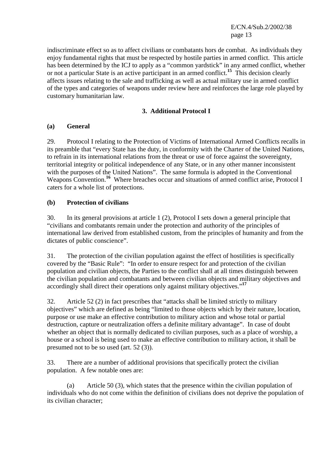indiscriminate effect so as to affect civilians or combatants hors de combat. As individuals they enjoy fundamental rights that must be respected by hostile parties in armed conflict. This article has been determined by the ICJ to apply as a "common yardstick" in any armed conflict, whether or not a particular State is an active participant in an armed conflict.**<sup>15</sup>** This decision clearly affects issues relating to the sale and trafficking as well as actual military use in armed conflict of the types and categories of weapons under review here and reinforces the large role played by customary humanitarian law.

## **3. Additional Protocol I**

## **(a) General**

29. Protocol I relating to the Protection of Victims of International Armed Conflicts recalls in its preamble that "every State has the duty, in conformity with the Charter of the United Nations, to refrain in its international relations from the threat or use of force against the sovereignty, territorial integrity or political independence of any State, or in any other manner inconsistent with the purposes of the United Nations". The same formula is adopted in the Conventional Weapons Convention.<sup>16</sup> Where breaches occur and situations of armed conflict arise, Protocol I caters for a whole list of protections.

## **(b) Protection of civilians**

30. In its general provisions at article 1 (2), Protocol I sets down a general principle that "civilians and combatants remain under the protection and authority of the principles of international law derived from established custom, from the principles of humanity and from the dictates of public conscience".

31. The protection of the civilian population against the effect of hostilities is specifically covered by the "Basic Rule": "In order to ensure respect for and protection of the civilian population and civilian objects, the Parties to the conflict shall at all times distinguish between the civilian population and combatants and between civilian objects and military objectives and accordingly shall direct their operations only against military objectives."**<sup>17</sup>**

32. Article 52 (2) in fact prescribes that "attacks shall be limited strictly to military objectives" which are defined as being "limited to those objects which by their nature, location, purpose or use make an effective contribution to military action and whose total or partial destruction, capture or neutralization offers a definite military advantage". In case of doubt whether an object that is normally dedicated to civilian purposes, such as a place of worship, a house or a school is being used to make an effective contribution to military action, it shall be presumed not to be so used (art. 52 (3)).

33. There are a number of additional provisions that specifically protect the civilian population. A few notable ones are:

 (a) Article 50 (3), which states that the presence within the civilian population of individuals who do not come within the definition of civilians does not deprive the population of its civilian character;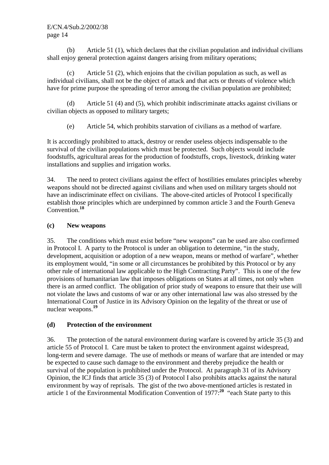(b) Article 51 (1), which declares that the civilian population and individual civilians shall enjoy general protection against dangers arising from military operations;

 (c) Article 51 (2), which enjoins that the civilian population as such, as well as individual civilians, shall not be the object of attack and that acts or threats of violence which have for prime purpose the spreading of terror among the civilian population are prohibited;

 (d) Article 51 (4) and (5), which prohibit indiscriminate attacks against civilians or civilian objects as opposed to military targets;

(e) Article 54, which prohibits starvation of civilians as a method of warfare.

It is accordingly prohibited to attack, destroy or render useless objects indispensable to the survival of the civilian populations which must be protected. Such objects would include foodstuffs, agricultural areas for the production of foodstuffs, crops, livestock, drinking water installations and supplies and irrigation works.

34. The need to protect civilians against the effect of hostilities emulates principles whereby weapons should not be directed against civilians and when used on military targets should not have an indiscriminate effect on civilians. The above-cited articles of Protocol I specifically establish those principles which are underpinned by common article 3 and the Fourth Geneva Convention.**<sup>18</sup>**

# **(c) New weapons**

35. The conditions which must exist before "new weapons" can be used are also confirmed in Protocol I. A party to the Protocol is under an obligation to determine, "in the study, development, acquisition or adoption of a new weapon, means or method of warfare", whether its employment would, "in some or all circumstances be prohibited by this Protocol or by any other rule of international law applicable to the High Contracting Party". This is one of the few provisions of humanitarian law that imposes obligations on States at all times, not only when there is an armed conflict. The obligation of prior study of weapons to ensure that their use will not violate the laws and customs of war or any other international law was also stressed by the International Court of Justice in its Advisory Opinion on the legality of the threat or use of nuclear weapons.**<sup>19</sup>**

# **(d) Protection of the environment**

36. The protection of the natural environment during warfare is covered by article 35 (3) and article 55 of Protocol I. Care must be taken to protect the environment against widespread, long-term and severe damage. The use of methods or means of warfare that are intended or may be expected to cause such damage to the environment and thereby prejudice the health or survival of the population is prohibited under the Protocol. At paragraph 31 of its Advisory Opinion, the ICJ finds that article 35 (3) of Protocol I also prohibits attacks against the natural environment by way of reprisals. The gist of the two above-mentioned articles is restated in article 1 of the Environmental Modification Convention of 1977:**<sup>20</sup>** "each State party to this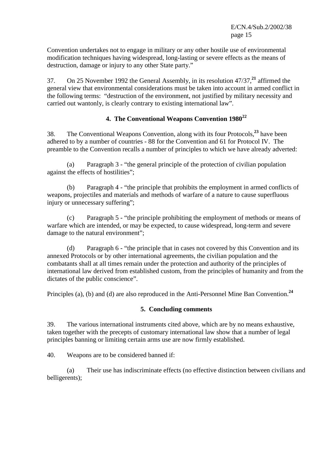Convention undertakes not to engage in military or any other hostile use of environmental modification techniques having widespread, long-lasting or severe effects as the means of destruction, damage or injury to any other State party."

37. On 25 November 1992 the General Assembly, in its resolution 47/37,**<sup>21</sup>** affirmed the general view that environmental considerations must be taken into account in armed conflict in the following terms: "destruction of the environment, not justified by military necessity and carried out wantonly, is clearly contrary to existing international law".

# **4. The Conventional Weapons Convention 1980<sup>22</sup>**

38. The Conventional Weapons Convention, along with its four Protocols,**<sup>23</sup>** have been adhered to by a number of countries - 88 for the Convention and 61 for Protocol IV. The preamble to the Convention recalls a number of principles to which we have already adverted:

 (a) Paragraph 3 - "the general principle of the protection of civilian population against the effects of hostilities";

 (b) Paragraph 4 - "the principle that prohibits the employment in armed conflicts of weapons, projectiles and materials and methods of warfare of a nature to cause superfluous injury or unnecessary suffering":

 (c) Paragraph 5 - "the principle prohibiting the employment of methods or means of warfare which are intended, or may be expected, to cause widespread, long-term and severe damage to the natural environment";

 (d) Paragraph 6 - "the principle that in cases not covered by this Convention and its annexed Protocols or by other international agreements, the civilian population and the combatants shall at all times remain under the protection and authority of the principles of international law derived from established custom, from the principles of humanity and from the dictates of the public conscience".

Principles (a), (b) and (d) are also reproduced in the Anti-Personnel Mine Ban Convention.**<sup>24</sup>**

#### **5. Concluding comments**

39. The various international instruments cited above, which are by no means exhaustive, taken together with the precepts of customary international law show that a number of legal principles banning or limiting certain arms use are now firmly established.

40. Weapons are to be considered banned if:

 (a) Their use has indiscriminate effects (no effective distinction between civilians and belligerents);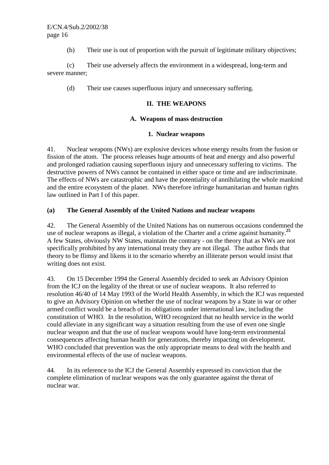(b) Their use is out of proportion with the pursuit of legitimate military objectives;

 (c) Their use adversely affects the environment in a widespread, long-term and severe manner;

(d) Their use causes superfluous injury and unnecessary suffering.

#### **II. THE WEAPONS**

#### **A. Weapons of mass destruction**

#### **1. Nuclear weapons**

41. Nuclear weapons (NWs) are explosive devices whose energy results from the fusion or fission of the atom. The process releases huge amounts of heat and energy and also powerful and prolonged radiation causing superfluous injury and unnecessary suffering to victims. The destructive powers of NWs cannot be contained in either space or time and are indiscriminate. The effects of NWs are catastrophic and have the potentiality of annihilating the whole mankind and the entire ecosystem of the planet. NWs therefore infringe humanitarian and human rights law outlined in Part I of this paper.

## **(a) The General Assembly of the United Nations and nuclear weapons**

42. The General Assembly of the United Nations has on numerous occasions condemned the use of nuclear weapons as illegal, a violation of the Charter and a crime against humanity.**<sup>25</sup>** A few States, obviously NW States, maintain the contrary - on the theory that as NWs are not specifically prohibited by any international treaty they are not illegal. The author finds that theory to be flimsy and likens it to the scenario whereby an illiterate person would insist that writing does not exist.

43. On 15 December 1994 the General Assembly decided to seek an Advisory Opinion from the ICJ on the legality of the threat or use of nuclear weapons. It also referred to resolution 46/40 of 14 May 1993 of the World Health Assembly, in which the ICJ was requested to give an Advisory Opinion on whether the use of nuclear weapons by a State in war or other armed conflict would be a breach of its obligations under international law, including the constitution of WHO. In the resolution, WHO recognized that no health service in the world could alleviate in any significant way a situation resulting from the use of even one single nuclear weapon and that the use of nuclear weapons would have long-term environmental consequences affecting human health for generations, thereby impacting on development. WHO concluded that prevention was the only appropriate means to deal with the health and environmental effects of the use of nuclear weapons.

44. In its reference to the ICJ the General Assembly expressed its conviction that the complete elimination of nuclear weapons was the only guarantee against the threat of nuclear war.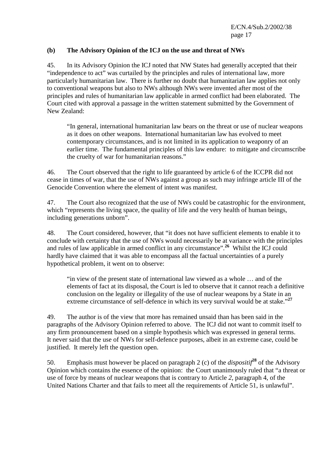#### **(b) The Advisory Opinion of the ICJ on the use and threat of NWs**

45. In its Advisory Opinion the ICJ noted that NW States had generally accepted that their "independence to act" was curtailed by the principles and rules of international law, more particularly humanitarian law. There is further no doubt that humanitarian law applies not only to conventional weapons but also to NWs although NWs were invented after most of the principles and rules of humanitarian law applicable in armed conflict had been elaborated. The Court cited with approval a passage in the written statement submitted by the Government of New Zealand:

"In general, international humanitarian law bears on the threat or use of nuclear weapons as it does on other weapons. International humanitarian law has evolved to meet contemporary circumstances, and is not limited in its application to weaponry of an earlier time. The fundamental principles of this law endure: to mitigate and circumscribe the cruelty of war for humanitarian reasons."

46. The Court observed that the right to life guaranteed by article 6 of the ICCPR did not cease in times of war, that the use of NWs against a group as such may infringe article III of the Genocide Convention where the element of intent was manifest.

47. The Court also recognized that the use of NWs could be catastrophic for the environment, which "represents the living space, the quality of life and the very health of human beings, including generations unborn".

48. The Court considered, however, that "it does not have sufficient elements to enable it to conclude with certainty that the use of NWs would necessarily be at variance with the principles and rules of law applicable in armed conflict in any circumstance".**<sup>26</sup>** Whilst the ICJ could hardly have claimed that it was able to encompass all the factual uncertainties of a purely hypothetical problem, it went on to observe:

"in view of the present state of international law viewed as a whole … and of the elements of fact at its disposal, the Court is led to observe that it cannot reach a definitive conclusion on the legality or illegality of the use of nuclear weapons by a State in an extreme circumstance of self-defence in which its very survival would be at stake."<sup>27</sup>

49. The author is of the view that more has remained unsaid than has been said in the paragraphs of the Advisory Opinion referred to above. The ICJ did not want to commit itself to any firm pronouncement based on a simple hypothesis which was expressed in general terms. It never said that the use of NWs for self-defence purposes, albeit in an extreme case, could be justified. It merely left the question open.

50. Emphasis must however be placed on paragraph 2 (c) of the *dispositif***<sup>28</sup>** of the Advisory Opinion which contains the essence of the opinion: the Court unanimously ruled that "a threat or use of force by means of nuclear weapons that is contrary to Article *2,* paragraph 4, of the United Nations Charter and that fails to meet all the requirements of Article 51, is unlawful".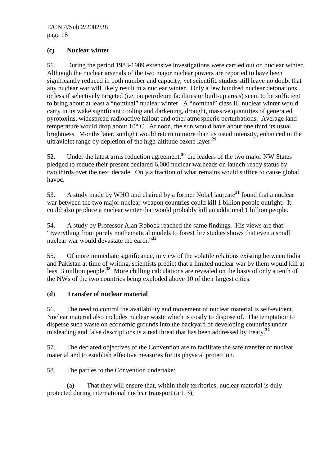## **(c) Nuclear winter**

51. During the period 1983-1989 extensive investigations were carried out on nuclear winter. Although the nuclear arsenals of the two major nuclear powers are reported to have been significantly reduced in both number and capacity, yet scientific studies still leave no doubt that any nuclear war will likely result in a nuclear winter. Only a few hundred nuclear detonations, or less if selectively targeted (i.e. on petroleum facilities or built-up areas) seem to be sufficient to bring about at least a "nominal" nuclear winter. A "nominal" class III nuclear winter would carry in its wake significant cooling and darkening, drought, massive quantities of generated pyrotoxins, widespread radioactive fallout and other atmospheric perturbations. Average land temperature would drop about  $10^{\circ}$  C. At noon, the sun would have about one third its usual brightness. Months later, sunlight would return to more than its usual intensity, enhanced in the ultraviolet range by depletion of the high-altitude ozone layer.**<sup>29</sup>**

52. Under the latest arms reduction agreement,**<sup>30</sup>** the leaders of the two major NW States pledged to reduce their present declared 6,000 nuclear warheads on launch-ready status by two thirds over the next decade. Only a fraction of what remains would suffice to cause global havoc.

53. A study made by WHO and chaired by a former Nobel laureate**<sup>31</sup>** found that a nuclear war between the two major nuclear-weapon countries could kill 1 billion people outright. It could also produce a nuclear winter that would probably kill an additional 1 billion people.

54. A study by Professor Alan Robock reached the same findings. His views are that: "Everything from purely mathematical models to forest fire studies shows that even a small nuclear war would devastate the earth."**<sup>32</sup>**

55. Of more immediate significance, in view of the volatile relations existing between India and Pakistan at time of writing, scientists predict that a limited nuclear war by them would kill at least 3 million people.**<sup>33</sup>** More chilling calculations are revealed on the basis of only a tenth of the NWs of the two countries being exploded above 10 of their largest cities.

## **(d) Transfer of nuclear material**

56. The need to control the availability and movement of nuclear material is self-evident. Nuclear material also includes nuclear waste which is costly to dispose of. The temptation to disperse such waste on economic grounds into the backyard of developing countries under misleading and false descriptions is a real threat that has been addressed by treaty.**<sup>34</sup>**

57. The declared objectives of the Convention are to facilitate the safe transfer of nuclear material and to establish effective measures for its physical protection.

58. The parties to the Convention undertake:

 (a) That they will ensure that, within their territories, nuclear material is duly protected during international nuclear transport (art. 3);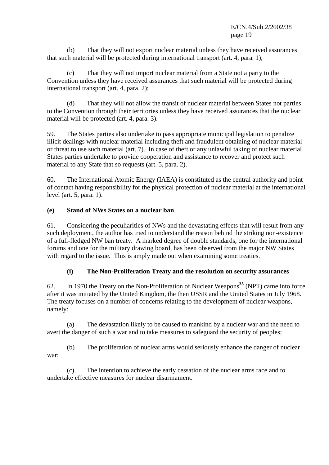(b) That they will not export nuclear material unless they have received assurances that such material will be protected during international transport (art. 4, para. 1);

 (c) That they will not import nuclear material from a State not a party to the Convention unless they have received assurances that such material will be protected during international transport (art. 4, para. 2);

 (d) That they will not allow the transit of nuclear material between States not parties to the Convention through their territories unless they have received assurances that the nuclear material will be protected (art. 4, para. 3).

59. The States parties also undertake to pass appropriate municipal legislation to penalize illicit dealings with nuclear material including theft and fraudulent obtaining of nuclear material or threat to use such material (art. 7). In case of theft or any unlawful taking of nuclear material States parties undertake to provide cooperation and assistance to recover and protect such material to any State that so requests (art. 5, para. 2).

60. The International Atomic Energy (IAEA) is constituted as the central authority and point of contact having responsibility for the physical protection of nuclear material at the international level (art. 5, para. 1).

# **(e) Stand of NWs States on a nuclear ban**

61. Considering the peculiarities of NWs and the devastating effects that will result from any such deployment, the author has tried to understand the reason behind the striking non-existence of a full-fledged NW ban treaty. A marked degree of double standards, one for the international forums and one for the military drawing board, has been observed from the major NW States with regard to the issue. This is amply made out when examining some treaties.

## **(i) The Non-Proliferation Treaty and the resolution on security assurances**

62. In 1970 the Treaty on the Non-Proliferation of Nuclear Weapons**<sup>35</sup>** (NPT) came into force after it was initiated by the United Kingdom, the then USSR and the United States in July 1968. The treaty focuses on a number of concerns relating to the development of nuclear weapons, namely:

 (a) The devastation likely to be caused to mankind by a nuclear war and the need to avert the danger of such a war and to take measures to safeguard the security of peoples;

 (b) The proliferation of nuclear arms would seriously enhance the danger of nuclear war;

 (c) The intention to achieve the early cessation of the nuclear arms race and to undertake effective measures for nuclear disarmament.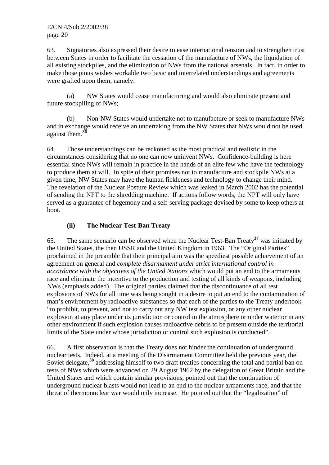63. Signatories also expressed their desire to ease international tension and to strengthen trust between States in order to facilitate the cessation of the manufacture of NWs, the liquidation of all existing stockpiles, and the elimination of NWs from the national arsenals. In fact, in order to make those pious wishes workable two basic and interrelated understandings and agreements were grafted upon them, namely:

 (a) NW States would cease manufacturing and would also eliminate present and future stockpiling of NWs;

 (b) Non-NW States would undertake not to manufacture or seek to manufacture NWs and in exchange would receive an undertaking from the NW States that NWs would not be used against them.**<sup>36</sup>**

64. Those understandings can be reckoned as the most practical and realistic in the circumstances considering that no one can now uninvent NWs. Confidence-building is here essential since NWs will remain in practice in the hands of an elite few who have the technology to produce them at will. In spite of their promises not to manufacture and stockpile NWs at a given time, NW States may have the human fickleness and technology to change their mind. The revelation of the Nuclear Posture Review which was leaked in March 2002 has the potential of sending the NPT to the shredding machine. If actions follow words, the NPT will only have served as a guarantee of hegemony and a self-serving package devised by some to keep others at boot.

# **(ii) The Nuclear Test-Ban Treaty**

65. The same scenario can be observed when the Nuclear Test-Ban Treaty**<sup>37</sup>** was initiated by the United States, the then USSR and the United Kingdom in 1963. The "Original Parties" proclaimed in the preamble that their principal aim was the speediest possible achievement of an agreement on general and *complete disarmament under strict international control in accordance with the objectives of the United Nations* which would put an end to the armaments race and eliminate the incentive to the production and testing of all kinds of weapons, including NWs (emphasis added). The original parties claimed that the discontinuance of all test explosions of NWs for all time was being sought in a desire to put an end to the contamination of man's environment by radioactive substances so that each of the parties to the Treaty undertook "to prohibit, to prevent, and not to carry out any NW test explosion, or any other nuclear explosion at any place under its jurisdiction or control in the atmosphere or under water or in any other environment if such explosion causes radioactive debris to be present outside the territorial limits of the State under whose jurisdiction or control such explosion is conducted".

66. A first observation is that the Treaty does not hinder the continuation of underground nuclear tests. Indeed, at a meeting of the Disarmament Committee held the previous year, the Soviet delegate,<sup>38</sup> addressing himself to two draft treaties concerning the total and partial ban on tests of NWs which were advanced on 29 August 1962 by the delegation of Great Britain and the United States and which contain similar provisions, pointed out that the continuation of underground nuclear blasts would not lead to an end to the nuclear armaments race, and that the threat of thermonuclear war would only increase. He pointed out that the "legalization" of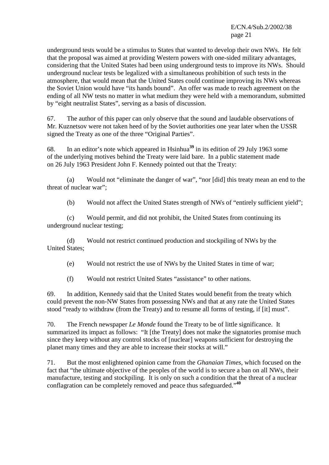underground tests would be a stimulus to States that wanted to develop their own NWs. He felt that the proposal was aimed at providing Western powers with one-sided military advantages, considering that the United States had been using underground tests to improve its NWs. Should underground nuclear tests be legalized with a simultaneous prohibition of such tests in the atmosphere, that would mean that the United States could continue improving its NWs whereas the Soviet Union would have "its hands bound". An offer was made to reach agreement on the ending of all NW tests no matter in what medium they were held with a memorandum, submitted by "eight neutralist States", serving as a basis of discussion.

67. The author of this paper can only observe that the sound and laudable observations of Mr. Kuznetsov were not taken heed of by the Soviet authorities one year later when the USSR signed the Treaty as one of the three "Original Parties".

68. In an editor's note which appeared in Hsinhua**<sup>39</sup>** in its edition of 29 July 1963 some of the underlying motives behind the Treaty were laid bare. In a public statement made on 26 July 1963 President John F. Kennedy pointed out that the Treaty:

 (a) Would not "eliminate the danger of war", "nor [did] this treaty mean an end to the threat of nuclear war";

(b) Would not affect the United States strength of NWs of "entirely sufficient yield";

 (c) Would permit, and did not prohibit, the United States from continuing its underground nuclear testing;

 (d) Would not restrict continued production and stockpiling of NWs by the United States;

(e) Would not restrict the use of NWs by the United States in time of war;

(f) Would not restrict United States "assistance" to other nations.

69. In addition, Kennedy said that the United States would benefit from the treaty which could prevent the non-NW States from possessing NWs and that at any rate the United States stood "ready to withdraw (from the Treaty) and to resume all forms of testing, if [it] must".

70. The French newspaper *Le Monde* found the Treaty to be of little significance. It summarized its impact as follows: "It [the Treaty] does not make the signatories promise much since they keep without any control stocks of [nuclear] weapons sufficient for destroying the planet many times and they are able to increase their stocks at will."

71. But the most enlightened opinion came from the *Ghanaian Times*, which focused on the fact that "the ultimate objective of the peoples of the world is to secure a ban on all NWs, their manufacture, testing and stockpiling. It is only on such a condition that the threat of a nuclear conflagration can be completely removed and peace thus safeguarded."**<sup>40</sup>**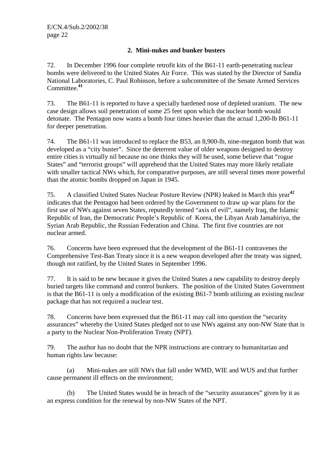## **2. Mini-nukes and bunker busters**

72. In December 1996 four complete retrofit kits of the B61-11 earth-penetrating nuclear bombs were delivered to the United States Air Force. This was stated by the Director of Sandia National Laboratories, C. Paul Robinson, before a subcommittee of the Senate Armed Services Committee.**<sup>41</sup>**

73. The B61-11 is reported to have a specially hardened nose of depleted uranium. The new case design allows soil penetration of some 25 feet upon which the nuclear bomb would detonate. The Pentagon now wants a bomb four times heavier than the actual 1,200-lb B61-11 for deeper penetration.

74. The B61-11 was introduced to replace the B53, an 8,900-lb, nine-megaton bomb that was developed as a "city buster". Since the deterrent value of older weapons designed to destroy entire cities is virtually nil because no one thinks they will be used, some believe that "rogue States" and "terrorist groups" will apprehend that the United States may more likely retaliate with smaller tactical NWs which, for comparative purposes, are still several times more powerful than the atomic bombs dropped on Japan in 1945.

75. A classified United States Nuclear Posture Review (NPR) leaked in March this year**<sup>42</sup>** indicates that the Pentagon had been ordered by the Government to draw up war plans for the first use of NWs against seven States, reputedly termed "axis of evil", namely Iraq, the Islamic Republic of Iran, the Democratic People's Republic of Korea, the Libyan Arab Jamahiriya, the Syrian Arab Republic, the Russian Federation and China. The first five countries are not nuclear armed.

76. Concerns have been expressed that the development of the B61-11 contravenes the Comprehensive Test-Ban Treaty since it is a new weapon developed after the treaty was signed, though not ratified, by the United States in September 1996.

77. It is said to be new because it gives the United States a new capability to destroy deeply buried targets like command and control bunkers. The position of the United States Government is that the B61-11 is only a modification of the existing B61-7 bomb utilizing an existing nuclear package that has not required a nuclear test.

78. Concerns have been expressed that the B61-11 may call into question the "security assurances" whereby the United States pledged not to use NWs against any non-NW State that is a party to the Nuclear Non-Proliferation Treaty (NPT).

79. The author has no doubt that the NPR instructions are contrary to humanitarian and human rights law because:

 (a) Mini-nukes are still NWs that fall under WMD, WIE and WUS and that further cause permanent ill effects on the environment;

 (b) The United States would be in breach of the "security assurances" given by it as an express condition for the renewal by non-NW States of the NPT.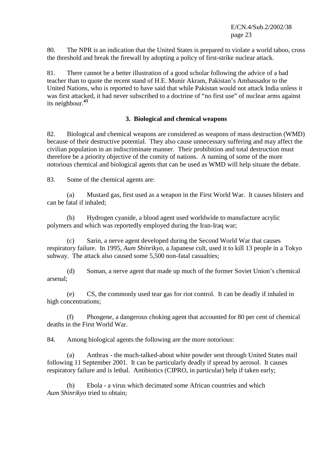80. The NPR is an indication that the United States is prepared to violate a world taboo, cross the threshold and break the firewall by adopting a policy of first-strike nuclear attack.

81. There cannot be a better illustration of a good scholar following the advice of a bad teacher than to quote the recent stand of H.E. Munir Akram, Pakistan's Ambassador to the United Nations, who is reported to have said that while Pakistan would not attack India unless it was first attacked, it had never subscribed to a doctrine of "no first use" of nuclear arms against its neighbour.**<sup>43</sup>**

#### **3. Biological and chemical weapons**

82. Biological and chemical weapons are considered as weapons of mass destruction (WMD) because of their destructive potential. They also cause unnecessary suffering and may affect the civilian population in an indiscriminate manner. Their prohibition and total destruction must therefore be a priority objective of the comity of nations. A naming of some of the more notorious chemical and biological agents that can be used as WMD will help situate the debate.

83. Some of the chemical agents are:

 (a) Mustard gas, first used as a weapon in the First World War. It causes blisters and can be fatal if inhaled;

 (b) Hydrogen cyanide, a blood agent used worldwide to manufacture acrylic polymers and which was reportedly employed during the Iran-Iraq war;

 (c) Sarin, a nerve agent developed during the Second World War that causes respiratory failure. In 1995, *Aum Shinrikyo*, a Japanese cult, used it to kill 13 people in a Tokyo subway. The attack also caused some 5,500 non-fatal casualties;

 (d) Soman, a nerve agent that made up much of the former Soviet Union's chemical arsenal;

 (e) CS, the commonly used tear gas for riot control. It can be deadly if inhaled in high concentrations;

 (f) Phosgene, a dangerous choking agent that accounted for 80 per cent of chemical deaths in the First World War.

84. Among biological agents the following are the more notorious:

 (a) Anthrax - the much-talked-about white powder sent through United States mail following 11 September 2001. It can be particularly deadly if spread by aerosol. It causes respiratory failure and is lethal. Antibiotics (CIPRO, in particular) help if taken early;

 (b) Ebola - a virus which decimated some African countries and which *Aum Shinrikyo* tried to obtain;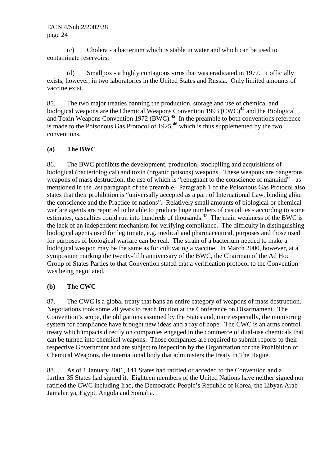(c) Cholera - a bacterium which is stable in water and which can be used to contaminate reservoirs;

 (d) Smallpox - a highly contagious virus that was eradicated in 1977. It officially exists, however, in two laboratories in the United States and Russia. Only limited amounts of vaccine exist.

85. The two major treaties banning the production, storage and use of chemical and biological weapons are the Chemical Weapons Convention 1993 (CWC)**<sup>44</sup>** and the Biological and Toxin Weapons Convention 1972 (BWC).**<sup>45</sup>** In the preamble to both conventions reference is made to the Poisonous Gas Protocol of 1925,**<sup>46</sup>** which is thus supplemented by the two conventions.

## **(a) The BWC**

86. The BWC prohibits the development, production, stockpiling and acquisitions of biological (bacteriological) and toxin (organic poisons) weapons. These weapons are dangerous weapons of mass destruction, the use of which is "repugnant to the conscience of mankind" - as mentioned in the last paragraph of the preamble. Paragraph 1 of the Poisonous Gas Protocol also states that their prohibition is "universally accepted as a part of International Law, binding alike the conscience and the Practice of nations". Relatively small amounts of biological or chemical warfare agents are reported to be able to produce huge numbers of casualties - according to some estimates, casualties could run into hundreds of thousands.**<sup>47</sup>** The main weakness of the BWC is the lack of an independent mechanism for verifying compliance. The difficulty in distinguishing biological agents used for legitimate, e.g. medical and pharmaceutical, purposes and those used for purposes of biological warfare can be real. The strain of a bacterium needed to make a biological weapon may be the same as for cultivating a vaccine. In March 2000, however, at a symposium marking the twenty-fifth anniversary of the BWC, the Chairman of the Ad Hoc Group of States Parties to that Convention stated that a verification protocol to the Convention was being negotiated.

## **(b) The CWC**

87. The CWC is a global treaty that bans an entire category of weapons of mass destruction. Negotiations took some 20 years to reach fruition at the Conference on Disarmament. The Convention's scope, the obligations assumed by the States and, more especially, the monitoring system for compliance have brought new ideas and a ray of hope. The CWC is an arms control treaty which impacts directly on companies engaged in the commerce of dual-use chemicals that can be turned into chemical weapons. Those companies are required to submit reports to their respective Government and are subject to inspection by the Organization for the Prohibition of Chemical Weapons, the international body that administers the treaty in The Hague.

88. As of 1 January 2001, 141 States had ratified or acceded to the Convention and a further 35 States had signed it. Eighteen members of the United Nations have neither signed nor ratified the CWC including Iraq, the Democratic People's Republic of Korea, the Libyan Arab Jamahiriya, Egypt, Angola and Somalia.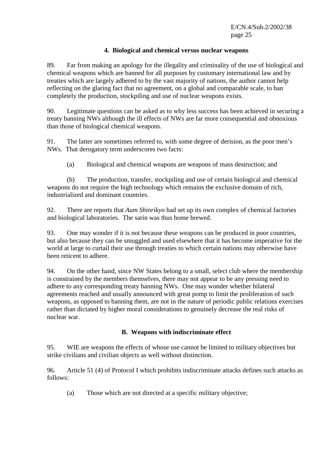#### **4. Biological and chemical versus nuclear weapons**

89. Far from making an apology for the illegality and criminality of the use of biological and chemical weapons which are banned for all purposes by customary international law and by treaties which are largely adhered to by the vast majority of nations, the author cannot help reflecting on the glaring fact that no agreement, on a global and comparable scale, to ban completely the production, stockpiling and use of nuclear weapons exists.

90. Legitimate questions can be asked as to why less success has been achieved in securing a treaty banning NWs although the ill effects of NWs are far more consequential and obnoxious than those of biological chemical weapons.

91. The latter are sometimes referred to, with some degree of derision, as the poor men's NWs. That derogatory term underscores two facts:

(a) Biological and chemical weapons are weapons of mass destruction; and

 (b) The production, transfer, stockpiling and use of certain biological and chemical weapons do not require the high technology which remains the exclusive domain of rich, industrialized and dominant countries.

92. There are reports that *Aum Shinrikyo* had set up its own complex of chemical factories and biological laboratories. The sarin was thus home brewed.

93. One may wonder if it is not because these weapons can be produced in poor countries, but also because they can be smuggled and used elsewhere that it has become imperative for the world at large to curtail their use through treaties to which certain nations may otherwise have been reticent to adhere.

94. On the other hand, since NW States belong to a small, select club where the membership is constrained by the members themselves, there may not appear to be any pressing need to adhere to any corresponding treaty banning NWs. One may wonder whether bilateral agreements reached and usually announced with great pomp to limit the proliferation of such weapons, as opposed to banning them, are not in the nature of periodic public relations exercises rather than dictated by higher moral considerations to genuinely decrease the real risks of nuclear war.

## **B. Weapons with indiscriminate effect**

95. WIE are weapons the effects of whose use cannot be limited to military objectives but strike civilians and civilian objects as well without distinction.

96. Article 51 (4) of Protocol I which prohibits indiscriminate attacks defines such attacks as follows:

(a) Those which are not directed at a specific military objective;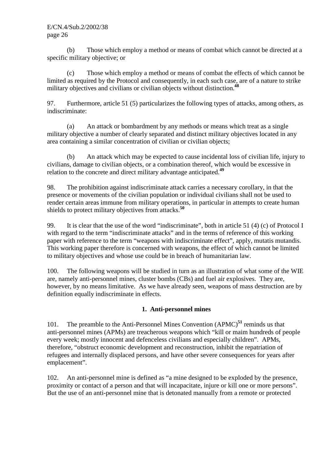(b) Those which employ a method or means of combat which cannot be directed at a specific military objective; or

 (c) Those which employ a method or means of combat the effects of which cannot be limited as required by the Protocol and consequently, in each such case, are of a nature to strike military objectives and civilians or civilian objects without distinction.**<sup>48</sup>**

97. Furthermore, article 51 (5) particularizes the following types of attacks, among others, as indiscriminate:

 (a) An attack or bombardment by any methods or means which treat as a single military objective a number of clearly separated and distinct military objectives located in any area containing a similar concentration of civilian or civilian objects;

 (b) An attack which may be expected to cause incidental loss of civilian life, injury to civilians, damage to civilian objects, or a combination thereof, which would be excessive in relation to the concrete and direct military advantage anticipated.**<sup>49</sup>**

98. The prohibition against indiscriminate attack carries a necessary corollary, in that the presence or movements of the civilian population or individual civilians shall not be used to render certain areas immune from military operations, in particular in attempts to create human shields to protect military objectives from attacks.**<sup>50</sup>**

99. It is clear that the use of the word "indiscriminate", both in article 51 (4) (c) of Protocol I with regard to the term "indiscriminate attacks" and in the terms of reference of this working paper with reference to the term "weapons with indiscriminate effect", apply, mutatis mutandis. This working paper therefore is concerned with weapons, the effect of which cannot be limited to military objectives and whose use could be in breach of humanitarian law.

100. The following weapons will be studied in turn as an illustration of what some of the WIE are, namely anti-personnel mines, cluster bombs (CBs) and fuel air explosives. They are, however, by no means limitative. As we have already seen, weapons of mass destruction are by definition equally indiscriminate in effects.

# **1. Anti-personnel mines**

101. The preamble to the Anti-Personnel Mines Convention (APMC)**<sup>51</sup>** reminds us that anti-personnel mines (APMs) are treacherous weapons which "kill or maim hundreds of people every week; mostly innocent and defenceless civilians and especially children". APMs, therefore, "obstruct economic development and reconstruction, inhibit the repatriation of refugees and internally displaced persons, and have other severe consequences for years after emplacement".

102. An anti-personnel mine is defined as "a mine designed to be exploded by the presence, proximity or contact of a person and that will incapacitate, injure or kill one or more persons". But the use of an anti-personnel mine that is detonated manually from a remote or protected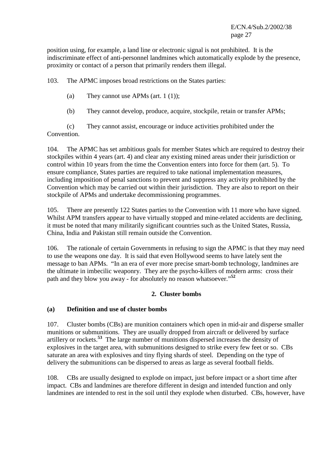position using, for example, a land line or electronic signal is not prohibited. It is the indiscriminate effect of anti-personnel landmines which automatically explode by the presence, proximity or contact of a person that primarily renders them illegal.

103. The APMC imposes broad restrictions on the States parties:

- (a) They cannot use APMs (art. 1  $(1)$ );
- (b) They cannot develop, produce, acquire, stockpile, retain or transfer APMs;

 (c) They cannot assist, encourage or induce activities prohibited under the Convention.

104. The APMC has set ambitious goals for member States which are required to destroy their stockpiles within 4 years (art. 4) and clear any existing mined areas under their jurisdiction or control within 10 years from the time the Convention enters into force for them (art. 5). To ensure compliance, States parties are required to take national implementation measures, including imposition of penal sanctions to prevent and suppress any activity prohibited by the Convention which may be carried out within their jurisdiction. They are also to report on their stockpile of APMs and undertake decommissioning programmes.

105. There are presently 122 States parties to the Convention with 11 more who have signed. Whilst APM transfers appear to have virtually stopped and mine-related accidents are declining, it must be noted that many militarily significant countries such as the United States, Russia, China, India and Pakistan still remain outside the Convention.

106. The rationale of certain Governments in refusing to sign the APMC is that they may need to use the weapons one day. It is said that even Hollywood seems to have lately sent the message to ban APMs. "In an era of ever more precise smart-bomb technology, landmines are the ultimate in imbecilic weaponry. They are the psycho-killers of modern arms: cross their path and they blow you away - for absolutely no reason whatsoever."**<sup>52</sup>**

# **2. Cluster bombs**

## **(a) Definition and use of cluster bombs**

107. Cluster bombs (CBs) are munition containers which open in mid-air and disperse smaller munitions or submunitions. They are usually dropped from aircraft or delivered by surface artillery or rockets.**<sup>53</sup>** The large number of munitions dispersed increases the density of explosives in the target area, with submunitions designed to strike every few feet or so. CBs saturate an area with explosives and tiny flying shards of steel. Depending on the type of delivery the submunitions can be dispersed to areas as large as several football fields.

108. CBs are usually designed to explode on impact, just before impact or a short time after impact. CBs and landmines are therefore different in design and intended function and only landmines are intended to rest in the soil until they explode when disturbed. CBs, however, have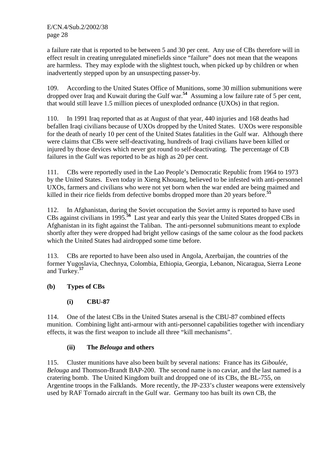a failure rate that is reported to be between 5 and 30 per cent. Any use of CBs therefore will in effect result in creating unregulated minefields since "failure" does not mean that the weapons are harmless. They may explode with the slightest touch, when picked up by children or when inadvertently stepped upon by an unsuspecting passer-by.

109. According to the United States Office of Munitions, some 30 million submunitions were dropped over Iraq and Kuwait during the Gulf war.**<sup>54</sup>** Assuming a low failure rate of 5 per cent, that would still leave 1.5 million pieces of unexploded ordnance (UXOs) in that region.

110. In 1991 Iraq reported that as at August of that year, 440 injuries and 168 deaths had befallen Iraqi civilians because of UXOs dropped by the United States. UXOs were responsible for the death of nearly 10 per cent of the United States fatalities in the Gulf war. Although there were claims that CBs were self-deactivating, hundreds of Iraqi civilians have been killed or injured by those devices which never got round to self-deactivating. The percentage of CB failures in the Gulf was reported to be as high as 20 per cent.

111. CBs were reportedly used in the Lao People's Democratic Republic from 1964 to 1973 by the United States. Even today in Xieng Khouang, believed to be infested with anti-personnel UXOs, farmers and civilians who were not yet born when the war ended are being maimed and killed in their rice fields from defective bombs dropped more than 20 years before.**<sup>55</sup>**

112. In Afghanistan, during the Soviet occupation the Soviet army is reported to have used CBs against civilians in 1995.**<sup>56</sup>** Last year and early this year the United States dropped CBs in Afghanistan in its fight against the Taliban. The anti-personnel submunitions meant to explode shortly after they were dropped had bright yellow casings of the same colour as the food packets which the United States had airdropped some time before.

113. CBs are reported to have been also used in Angola, Azerbaijan, the countries of the former Yugoslavia, Chechnya, Colombia, Ethiopia, Georgia, Lebanon, Nicaragua, Sierra Leone and Turkey.**<sup>57</sup>**

# **(b) Types of CBs**

# **(i) CBU-87**

114. One of the latest CBs in the United States arsenal is the CBU-87 combined effects munition. Combining light anti-armour with anti-personnel capabilities together with incendiary effects, it was the first weapon to include all three "kill mechanisms".

# **(ii) The** *Belouga* **and others**

115. Cluster munitions have also been built by several nations: France has its *Giboulée*, *Belouga* and Thomson-Brandt BAP-200. The second name is no caviar, and the last named is a cratering bomb. The United Kingdom built and dropped one of its CBs, the BL-755, on Argentine troops in the Falklands. More recently, the JP-233's cluster weapons were extensively used by RAF Tornado aircraft in the Gulf war. Germany too has built its own CB, the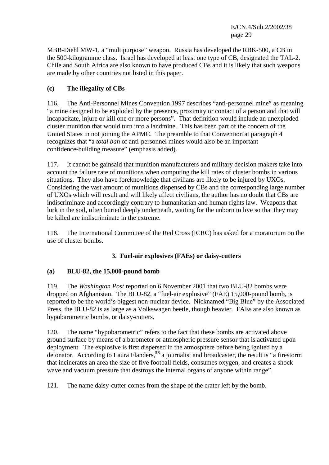MBB-Diehl MW-1, a "multipurpose" weapon. Russia has developed the RBK-500, a CB in the 500-kilogramme class. Israel has developed at least one type of CB, designated the TAL-2. Chile and South Africa are also known to have produced CBs and it is likely that such weapons are made by other countries not listed in this paper.

# **(c) The illegality of CBs**

116. The Anti-Personnel Mines Convention 1997 describes "anti-personnel mine" as meaning "a mine designed to be exploded by the presence, proximity or contact of a person and that will incapacitate, injure or kill one or more persons". That definition would include an unexploded cluster munition that would turn into a landmine. This has been part of the concern of the United States in not joining the APMC. The preamble to that Convention at paragraph 4 recognizes that "a *total ban* of anti-personnel mines would also be an important confidence-building measure" (emphasis added).

117. It cannot be gainsaid that munition manufacturers and military decision makers take into account the failure rate of munitions when computing the kill rates of cluster bombs in various situations. They also have foreknowledge that civilians are likely to be injured by UXOs. Considering the vast amount of munitions dispensed by CBs and the corresponding large number of UXOs which will result and will likely affect civilians, the author has no doubt that CBs are indiscriminate and accordingly contrary to humanitarian and human rights law. Weapons that lurk in the soil, often buried deeply underneath, waiting for the unborn to live so that they may be killed are indiscriminate in the extreme.

118. The International Committee of the Red Cross (ICRC) has asked for a moratorium on the use of cluster bombs.

# **3. Fuel-air explosives (FAEs) or daisy-cutters**

## **(a) BLU-82, the 15,000-pound bomb**

119. The *Washington Post* reported on 6 November 2001 that two BLU-82 bombs were dropped on Afghanistan. The BLU-82, a "fuel-air explosive" (FAE) 15,000-pound bomb, is reported to be the world's biggest non-nuclear device. Nicknamed "Big Blue" by the Associated Press, the BLU-82 is as large as a Volkswagen beetle, though heavier. FAEs are also known as hypobarometric bombs, or daisy-cutters.

120. The name "hypobarometric" refers to the fact that these bombs are activated above ground surface by means of a barometer or atmospheric pressure sensor that is activated upon deployment. The explosive is first dispersed in the atmosphere before being ignited by a detonator. According to Laura Flanders,**<sup>58</sup>** a journalist and broadcaster, the result is "a firestorm that incinerates an area the size of five football fields, consumes oxygen, and creates a shock wave and vacuum pressure that destroys the internal organs of anyone within range".

121. The name daisy-cutter comes from the shape of the crater left by the bomb.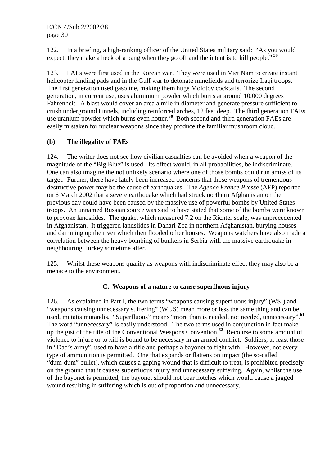122. In a briefing, a high-ranking officer of the United States military said: "As you would expect, they make a heck of a bang when they go off and the intent is to kill people."**<sup>59</sup>**

123. FAEs were first used in the Korean war. They were used in Viet Nam to create instant helicopter landing pads and in the Gulf war to detonate minefields and terrorize Iraqi troops. The first generation used gasoline, making them huge Molotov cocktails. The second generation, in current use, uses aluminium powder which burns at around 10,000 degrees Fahrenheit. A blast would cover an area a mile in diameter and generate pressure sufficient to crush underground tunnels, including reinforced arches, 12 feet deep. The third generation FAEs use uranium powder which burns even hotter.**<sup>60</sup>** Both second and third generation FAEs are easily mistaken for nuclear weapons since they produce the familiar mushroom cloud.

# **(b) The illegality of FAEs**

124. The writer does not see how civilian casualties can be avoided when a weapon of the magnitude of the "Big Blue" is used. Its effect would, in all probabilities, be indiscriminate. One can also imagine the not unlikely scenario where one of those bombs could run amiss of its target. Further, there have lately been increased concerns that those weapons of tremendous destructive power may be the cause of earthquakes. The *Agence France Presse* (AFP) reported on 6 March 2002 that a severe earthquake which had struck northern Afghanistan on the previous day could have been caused by the massive use of powerful bombs by United States troops. An unnamed Russian source was said to have stated that some of the bombs were known to provoke landslides. The quake, which measured 7.2 on the Richter scale, was unprecedented in Afghanistan. It triggered landslides in Dahari Zoa in northern Afghanistan, burying houses and damming up the river which then flooded other houses. Weapons watchers have also made a correlation between the heavy bombing of bunkers in Serbia with the massive earthquake in neighbouring Turkey sometime after.

125. Whilst these weapons qualify as weapons with indiscriminate effect they may also be a menace to the environment.

## **C. Weapons of a nature to cause superfluous injury**

126. As explained in Part I, the two terms "weapons causing superfluous injury" (WSI) and "weapons causing unnecessary suffering" (WUS) mean more or less the same thing and can be used, mutatis mutandis. "Superfluous" means "more than is needed, not needed, unnecessary".**<sup>61</sup>** The word "unnecessary" is easily understood. The two terms used in conjunction in fact make up the gist of the title of the Conventional Weapons Convention.**<sup>62</sup>** Recourse to some amount of violence to injure or to kill is bound to be necessary in an armed conflict. Soldiers, at least those in "Dad's army", used to have a rifle and perhaps a bayonet to fight with. However, not every type of ammunition is permitted. One that expands or flattens on impact (the so-called "dum-dum" bullet), which causes a gaping wound that is difficult to treat, is prohibited precisely on the ground that it causes superfluous injury and unnecessary suffering. Again, whilst the use of the bayonet is permitted, the bayonet should not bear notches which would cause a jagged wound resulting in suffering which is out of proportion and unnecessary.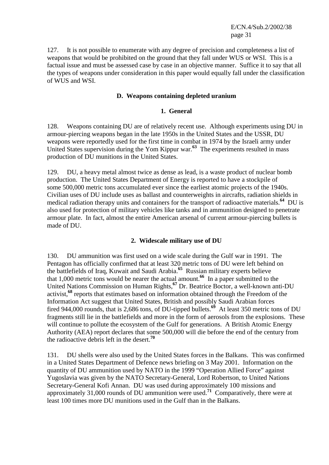127. It is not possible to enumerate with any degree of precision and completeness a list of weapons that would be prohibited on the ground that they fall under WUS or WSI. This is a factual issue and must be assessed case by case in an objective manner. Suffice it to say that all the types of weapons under consideration in this paper would equally fall under the classification of WUS and WSI.

#### **D. Weapons containing depleted uranium**

#### **1. General**

128. Weapons containing DU are of relatively recent use. Although experiments using DU in armour-piercing weapons began in the late 1950s in the United States and the USSR, DU weapons were reportedly used for the first time in combat in 1974 by the Israeli army under United States supervision during the Yom Kippur war.**<sup>63</sup>** The experiments resulted in mass production of DU munitions in the United States.

129. DU, a heavy metal almost twice as dense as lead, is a waste product of nuclear bomb production. The United States Department of Energy is reported to have a stockpile of some 500,000 metric tons accumulated ever since the earliest atomic projects of the 1940s. Civilian uses of DU include uses as ballast and counterweights in aircrafts, radiation shields in medical radiation therapy units and containers for the transport of radioactive materials.**<sup>64</sup>** DU is also used for protection of military vehicles like tanks and in ammunition designed to penetrate armour plate. In fact, almost the entire American arsenal of current armour-piercing bullets is made of DU.

## **2. Widescale military use of DU**

130. DU ammunition was first used on a wide scale during the Gulf war in 1991. The Pentagon has officially confirmed that at least 320 metric tons of DU were left behind on the battlefields of Iraq, Kuwait and Saudi Arabia.**<sup>65</sup>** Russian military experts believe that 1,000 metric tons would be nearer the actual amount.**<sup>66</sup>** In a paper submitted to the United Nations Commission on Human Rights,**<sup>67</sup>** Dr. Beatrice Boctor, a well-known anti-DU activist,**<sup>68</sup>** reports that estimates based on information obtained through the Freedom of the Information Act suggest that United States, British and possibly Saudi Arabian forces fired 944,000 rounds, that is 2,686 tons, of DU-tipped bullets.**<sup>69</sup>** At least 350 metric tons of DU fragments still lie in the battlefields and more in the form of aerosols from the explosions. These will continue to pollute the ecosystem of the Gulf for generations. A British Atomic Energy Authority (AEA) report declares that some 500,000 will die before the end of the century from the radioactive debris left in the desert.**<sup>70</sup>**

131. DU shells were also used by the United States forces in the Balkans. This was confirmed in a United States Department of Defence news briefing on 3 May 2001. Information on the quantity of DU ammunition used by NATO in the 1999 "Operation Allied Force" against Yugoslavia was given by the NATO Secretary-General, Lord Robertson, to United Nations Secretary-General Kofi Annan. DU was used during approximately 100 missions and approximately 31,000 rounds of DU ammunition were used.**<sup>71</sup>** Comparatively, there were at least 100 times more DU munitions used in the Gulf than in the Balkans.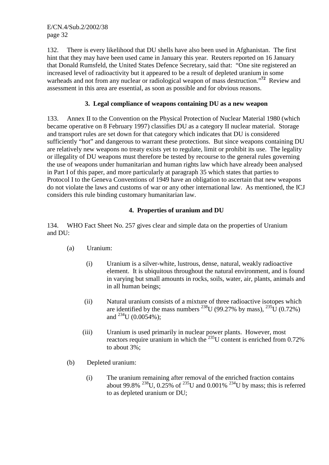132. There is every likelihood that DU shells have also been used in Afghanistan. The first hint that they may have been used came in January this year. Reuters reported on 16 January that Donald Rumsfeld, the United States Defence Secretary, said that: "One site registered an increased level of radioactivity but it appeared to be a result of depleted uranium in some warheads and not from any nuclear or radiological weapon of mass destruction."**<sup>72</sup>** Review and assessment in this area are essential, as soon as possible and for obvious reasons.

## **3. Legal compliance of weapons containing DU as a new weapon**

133. Annex II to the Convention on the Physical Protection of Nuclear Material 1980 (which became operative on 8 February 1997) classifies DU as a category II nuclear material. Storage and transport rules are set down for that category which indicates that DU is considered sufficiently "hot" and dangerous to warrant these protections. But since weapons containing DU are relatively new weapons no treaty exists yet to regulate, limit or prohibit its use. The legality or illegality of DU weapons must therefore be tested by recourse to the general rules governing the use of weapons under humanitarian and human rights law which have already been analysed in Part I of this paper, and more particularly at paragraph 35 which states that parties to Protocol I to the Geneva Conventions of 1949 have an obligation to ascertain that new weapons do not violate the laws and customs of war or any other international law. As mentioned, the ICJ considers this rule binding customary humanitarian law.

# **4. Properties of uranium and DU**

134. WHO Fact Sheet No. 257 gives clear and simple data on the properties of Uranium and DU:

- (a) Uranium:
	- (i) Uranium is a silver-white, lustrous, dense, natural, weakly radioactive element. It is ubiquitous throughout the natural environment, and is found in varying but small amounts in rocks, soils, water, air, plants, animals and in all human beings;
	- (ii) Natural uranium consists of a mixture of three radioactive isotopes which are identified by the mass numbers <sup>238</sup>U (99.27% by mass), <sup>235</sup>U (0.72%) and  $^{234}$ U (0.0054%);
	- (iii) Uranium is used primarily in nuclear power plants. However, most reactors require uranium in which the  $^{235}$ U content is enriched from 0.72% to about 3%;
- (b) Depleted uranium:
	- (i) The uranium remaining after removal of the enriched fraction contains about 99.8% <sup>238</sup>U, 0.25% of <sup>235</sup>U and 0.001% <sup>234</sup>U by mass; this is referred to as depleted uranium or DU;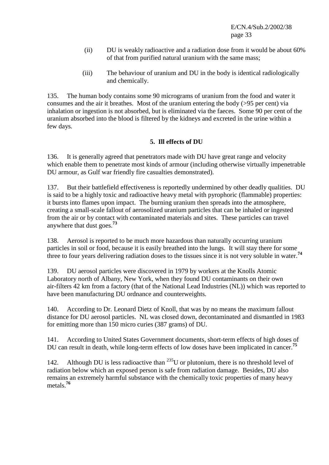- (ii) DU is weakly radioactive and a radiation dose from it would be about 60% of that from purified natural uranium with the same mass;
- (iii) The behaviour of uranium and DU in the body is identical radiologically and chemically.

135. The human body contains some 90 micrograms of uranium from the food and water it consumes and the air it breathes. Most of the uranium entering the body (>95 per cent) via inhalation or ingestion is not absorbed, but is eliminated via the faeces. Some 90 per cent of the uranium absorbed into the blood is filtered by the kidneys and excreted in the urine within a few days.

## **5. Ill effects of DU**

136. It is generally agreed that penetrators made with DU have great range and velocity which enable them to penetrate most kinds of armour (including otherwise virtually impenetrable DU armour, as Gulf war friendly fire casualties demonstrated).

137. But their battlefield effectiveness is reportedly undermined by other deadly qualities. DU is said to be a highly toxic and radioactive heavy metal with pyrophoric (flammable) properties: it bursts into flames upon impact. The burning uranium then spreads into the atmosphere, creating a small-scale fallout of aerosolized uranium particles that can be inhaled or ingested from the air or by contact with contaminated materials and sites. These particles can travel anywhere that dust goes.**<sup>73</sup>**

138. Aerosol is reported to be much more hazardous than naturally occurring uranium particles in soil or food, because it is easily breathed into the lungs. It will stay there for some three to four years delivering radiation doses to the tissues since it is not very soluble in water.**<sup>74</sup>**

139. DU aerosol particles were discovered in 1979 by workers at the Knolls Atomic Laboratory north of Albany, New York, when they found DU contaminants on their own air-filters 42 km from a factory (that of the National Lead Industries (NL)) which was reported to have been manufacturing DU ordnance and counterweights.

140. According to Dr. Leonard Dietz of Knoll, that was by no means the maximum fallout distance for DU aerosol particles. NL was closed down, decontaminated and dismantled in 1983 for emitting more than 150 micro curies (387 grams) of DU.

141. According to United States Government documents, short-term effects of high doses of DU can result in death, while long-term effects of low doses have been implicated in cancer.**<sup>75</sup>**

142. Although DU is less radioactive than  $^{235}$ U or plutonium, there is no threshold level of radiation below which an exposed person is safe from radiation damage. Besides, DU also remains an extremely harmful substance with the chemically toxic properties of many heavy metals.**<sup>76</sup>**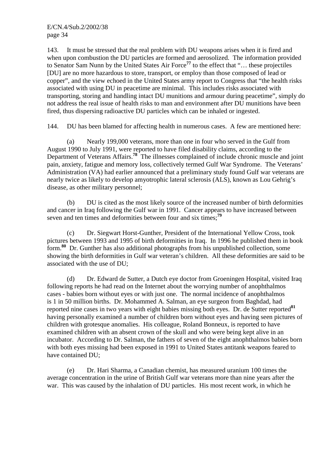143. It must be stressed that the real problem with DU weapons arises when it is fired and when upon combustion the DU particles are formed and aerosolized. The information provided to Senator Sam Nunn by the United States Air Force**<sup>77</sup>** to the effect that "… these projectiles [DU] are no more hazardous to store, transport, or employ than those composed of lead or copper", and the view echoed in the United States army report to Congress that "the health risks associated with using DU in peacetime are minimal. This includes risks associated with transporting, storing and handling intact DU munitions and armour during peacetime", simply do not address the real issue of health risks to man and environment after DU munitions have been fired, thus dispersing radioactive DU particles which can be inhaled or ingested.

144. DU has been blamed for affecting health in numerous cases. A few are mentioned here:

 (a) Nearly 199,000 veterans, more than one in four who served in the Gulf from August 1990 to July 1991, were reported to have filed disability claims, according to the Department of Veterans Affairs.**<sup>78</sup>** The illnesses complained of include chronic muscle and joint pain, anxiety, fatigue and memory loss, collectively termed Gulf War Syndrome. The Veterans' Administration (VA) had earlier announced that a preliminary study found Gulf war veterans are nearly twice as likely to develop amyotrophic lateral sclerosis (ALS), known as Lou Gehrig's disease, as other military personnel;

 (b) DU is cited as the most likely source of the increased number of birth deformities and cancer in Iraq following the Gulf war in 1991. Cancer appears to have increased between seven and ten times and deformities between four and six times;**<sup>79</sup>**

 (c) Dr. Siegwart Horst-Gunther, President of the International Yellow Cross, took pictures between 1993 and 1995 of birth deformities in Iraq. In 1996 he published them in book form.**<sup>80</sup>** Dr. Gunther has also additional photographs from his unpublished collection, some showing the birth deformities in Gulf war veteran's children. All these deformities are said to be associated with the use of DU;

 (d) Dr. Edward de Sutter, a Dutch eye doctor from Groeningen Hospital, visited Iraq following reports he had read on the Internet about the worrying number of anophthalmos cases - babies born without eyes or with just one. The normal incidence of anophthalmos is 1 in 50 million births. Dr. Mohammed A. Salman, an eye surgeon from Baghdad, had reported nine cases in two years with eight babies missing both eyes. Dr. de Sutter reported**<sup>81</sup>** having personally examined a number of children born without eyes and having seen pictures of children with grotesque anomalies. His colleague, Roland Bonneux, is reported to have examined children with an absent crown of the skull and who were being kept alive in an incubator. According to Dr. Salman, the fathers of seven of the eight anophthalmos babies born with both eyes missing had been exposed in 1991 to United States antitank weapons feared to have contained DU;

 (e) Dr. Hari Sharma, a Canadian chemist, has measured uranium 100 times the average concentration in the urine of British Gulf war veterans more than nine years after the war. This was caused by the inhalation of DU particles. His most recent work, in which he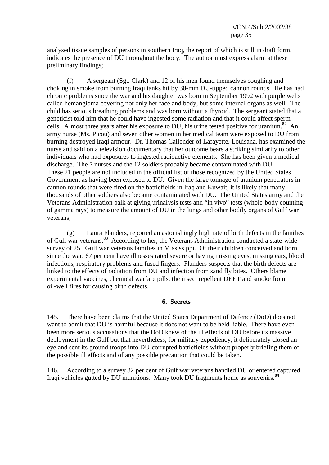analysed tissue samples of persons in southern Iraq, the report of which is still in draft form, indicates the presence of DU throughout the body. The author must express alarm at these preliminary findings;

 (f) A sergeant (Sgt. Clark) and 12 of his men found themselves coughing and choking in smoke from burning Iraqi tanks hit by 30-mm DU-tipped cannon rounds. He has had chronic problems since the war and his daughter was born in September 1992 with purple welts called hemangioma covering not only her face and body, but some internal organs as well. The child has serious breathing problems and was born without a thyroid. The sergeant stated that a geneticist told him that he could have ingested some radiation and that it could affect sperm cells. Almost three years after his exposure to DU, his urine tested positive for uranium.**<sup>82</sup>** An army nurse (Ms. Picou) and seven other women in her medical team were exposed to DU from burning destroyed Iraqi armour. Dr. Thomas Callender of Lafayette, Louisana, has examined the nurse and said on a television documentary that her outcome bears a striking similarity to other individuals who had exposures to ingested radioactive elements. She has been given a medical discharge. The 7 nurses and the 12 soldiers probably became contaminated with DU. These 21 people are not included in the official list of those recognized by the United States Government as having been exposed to DU. Given the large tonnage of uranium penetrators in cannon rounds that were fired on the battlefields in Iraq and Kuwait, it is likely that many thousands of other soldiers also became contaminated with DU. The United States army and the Veterans Administration balk at giving urinalysis tests and "in vivo" tests (whole-body counting of gamma rays) to measure the amount of DU in the lungs and other bodily organs of Gulf war veterans;

 (g) Laura Flanders, reported an astonishingly high rate of birth defects in the families of Gulf war veterans.**<sup>83</sup>** According to her, the Veterans Administration conducted a state-wide survey of 251 Gulf war veterans families in Mississippi. Of their children conceived and born since the war, 67 per cent have illnesses rated severe or having missing eyes, missing ears, blood infections, respiratory problems and fused fingers. Flanders suspects that the birth defects are linked to the effects of radiation from DU and infection from sand fly bites. Others blame experimental vaccines, chemical warfare pills, the insect repellent DEET and smoke from oil-well fires for causing birth defects.

#### **6. Secrets**

145. There have been claims that the United States Department of Defence (DoD) does not want to admit that DU is harmful because it does not want to be held liable. There have even been more serious accusations that the DoD knew of the ill effects of DU before its massive deployment in the Gulf but that nevertheless, for military expediency, it deliberately closed an eye and sent its ground troops into DU-corrupted battlefields without properly briefing them of the possible ill effects and of any possible precaution that could be taken.

146. According to a survey 82 per cent of Gulf war veterans handled DU or entered captured Iraqi vehicles gutted by DU munitions. Many took DU fragments home as souvenirs.**<sup>84</sup>**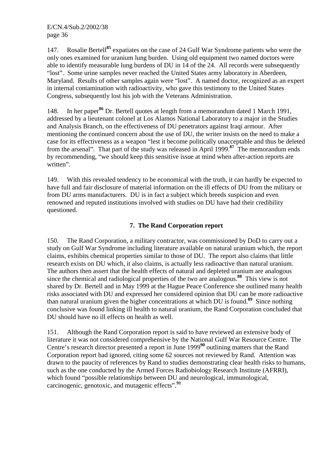147. Rosalie Bertell**<sup>85</sup>** expatiates on the case of 24 Gulf War Syndrome patients who were the only ones examined for uranium lung burden. Using old equipment two named doctors were able to identify measurable lung burdens of DU in 14 of the 24. All records were subsequently "lost". Some urine samples never reached the United States army laboratory in Aberdeen, Maryland. Results of other samples again were "lost". A named doctor, recognized as an expert in internal contamination with radioactivity, who gave this testimony to the United States Congress, subsequently lost his job with the Veterans Administration.

148. In her paper**<sup>86</sup>** Dr. Bertell quotes at length from a memorandum dated 1 March 1991, addressed by a lieutenant colonel at Los Alamos National Laboratory to a major in the Studies and Analysis Branch, on the effectiveness of DU penetrators against Iraqi armour. After mentioning the continued concern about the use of DU, the writer insists on the need to make a case for its effectiveness as a weapon "lest it become politically unacceptable and thus be deleted from the arsenal". That part of the study was released in April 1999.**<sup>87</sup>** The memorandum ends by recommending, "we should keep this sensitive issue at mind when after-action reports are written".

149. With this revealed tendency to be economical with the truth, it can hardly be expected to have full and fair disclosure of material information on the ill effects of DU from the military or from DU arms manufacturers. DU is in fact a subject which breeds suspicion and even renowned and reputed institutions involved with studies on DU have had their credibility questioned.

# **7. The Rand Corporation report**

150. The Rand Corporation, a military contractor, was commissioned by DoD to carry out a study on Gulf War Syndrome including literature available on natural uranium which, the report claims, exhibits chemical properties similar to those of DU. The report also claims that little research exists on DU which, it also claims, is actually less radioactive than natural uranium. The authors then assert that the health effects of natural and depleted uranium are analogous since the chemical and radiological properties of the two are analogous.**<sup>88</sup>** This view is not shared by Dr. Bertell and in May 1999 at the Hague Peace Conference she outlined many health risks associated with DU and expressed her considered opinion that DU can be more radioactive than natural uranium given the higher concentrations at which DU is found.**<sup>89</sup>** Since nothing conclusive was found linking ill health to natural uranium, the Rand Corporation concluded that DU should have no ill effects on health as well.

151. Although the Rand Corporation report is said to have reviewed an extensive body of literature it was not considered comprehensive by the National Gulf War Resource Centre. The Centre's research director presented a report in June 1999**<sup>90</sup>** outlining matters that the Rand Corporation report had ignored, citing some 62 sources not reviewed by Rand. Attention was drawn to the paucity of references by Rand to studies demonstrating clear health risks to humans, such as the one conducted by the Armed Forces Radiobiology Research Institute (AFRRI), which found "possible relationships between DU and neurological, immunological, carcinogenic, genotoxic, and mutagenic effects".**<sup>91</sup>**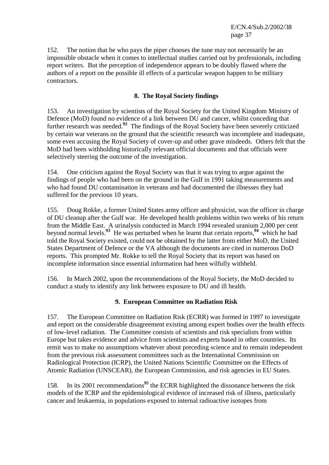152. The notion that he who pays the piper chooses the tune may not necessarily be an impossible obstacle when it comes to intellectual studies carried out by professionals, including report writers. But the perception of independence appears to be doubly flawed where the authors of a report on the possible ill effects of a particular weapon happen to be military contractors.

## **8. The Royal Society findings**

153. An investigation by scientists of the Royal Society for the United Kingdom Ministry of Defence (MoD) found no evidence of a link between DU and cancer, whilst conceding that further research was needed.**<sup>92</sup>** The findings of the Royal Society have been severely criticized by certain war veterans on the ground that the scientific research was incomplete and inadequate, some even accusing the Royal Society of cover-up and other grave misdeeds. Others felt that the MoD had been withholding historically relevant official documents and that officials were selectively steering the outcome of the investigation.

154. One criticism against the Royal Society was that it was trying to argue against the findings of people who had been on the ground in the Gulf in 1991 taking measurements and who had found DU contamination in veterans and had documented the illnesses they had suffered for the previous 10 years.

155. Doug Rokke, a former United States army officer and physicist, was the officer in charge of DU cleanup after the Gulf war. He developed health problems within two weeks of his return from the Middle East. A urinalysis conducted in March 1994 revealed uranium 2,000 per cent beyond normal levels.**<sup>93</sup>** He was perturbed when he learnt that certain reports,**<sup>94</sup>** which he had told the Royal Society existed, could not be obtained by the latter from either MoD, the United States Department of Defence or the VA although the documents are cited in numerous DoD reports. This prompted Mr. Rokke to tell the Royal Society that its report was based on incomplete information since essential information had been wilfully withheld.

156. In March 2002, upon the recommendations of the Royal Society, the MoD decided to conduct a study to identify any link between exposure to DU and ill health.

## **9. European Committee on Radiation Risk**

157. The European Committee on Radiation Risk (ECRR) was formed in 1997 to investigate and report on the considerable disagreement existing among expert bodies over the health effects of low-level radiation. The Committee consists of scientists and risk specialists from within Europe but takes evidence and advice from scientists and experts based in other countries. Its remit was to make no assumptions whatever about preceding science and to remain independent from the previous risk assessment committees such as the International Commission on Radiological Protection (ICRP), the United Nations Scientific Committee on the Effects of Atomic Radiation (UNSCEAR), the European Commission, and risk agencies in EU States.

158. In its 2001 recommendations**<sup>95</sup>** the ECRR highlighted the dissonance between the risk models of the ICRP and the epidemiological evidence of increased risk of illness, particularly cancer and leukaemia, in populations exposed to internal radioactive isotopes from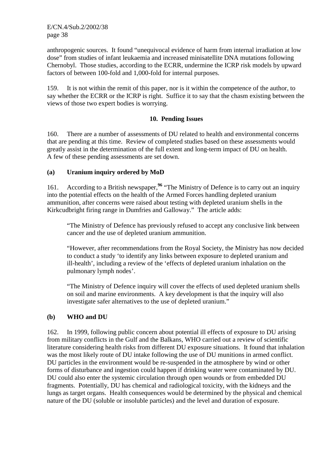anthropogenic sources. It found "unequivocal evidence of harm from internal irradiation at low dose" from studies of infant leukaemia and increased minisatellite DNA mutations following Chernobyl. Those studies, according to the ECRR, undermine the ICRP risk models by upward factors of between 100-fold and 1,000-fold for internal purposes.

159. It is not within the remit of this paper, nor is it within the competence of the author, to say whether the ECRR or the ICRP is right. Suffice it to say that the chasm existing between the views of those two expert bodies is worrying.

## **10. Pending Issues**

160. There are a number of assessments of DU related to health and environmental concerns that are pending at this time. Review of completed studies based on these assessments would greatly assist in the determination of the full extent and long-term impact of DU on health. A few of these pending assessments are set down.

# **(a) Uranium inquiry ordered by MoD**

161. According to a British newspaper,**<sup>96</sup>** "The Ministry of Defence is to carry out an inquiry into the potential effects on the health of the Armed Forces handling depleted uranium ammunition, after concerns were raised about testing with depleted uranium shells in the Kirkcudbright firing range in Dumfries and Galloway." The article adds:

 "The Ministry of Defence has previously refused to accept any conclusive link between cancer and the use of depleted uranium ammunition.

 "However, after recommendations from the Royal Society, the Ministry has now decided to conduct a study 'to identify any links between exposure to depleted uranium and ill-health', including a review of the 'effects of depleted uranium inhalation on the pulmonary lymph nodes'.

 "The Ministry of Defence inquiry will cover the effects of used depleted uranium shells on soil and marine environments. A key development is that the inquiry will also investigate safer alternatives to the use of depleted uranium."

## **(b) WHO and DU**

162. In 1999, following public concern about potential ill effects of exposure to DU arising from military conflicts in the Gulf and the Balkans, WHO carried out a review of scientific literature considering health risks from different DU exposure situations. It found that inhalation was the most likely route of DU intake following the use of DU munitions in armed conflict. DU particles in the environment would be re-suspended in the atmosphere by wind or other forms of disturbance and ingestion could happen if drinking water were contaminated by DU. DU could also enter the systemic circulation through open wounds or from embedded DU fragments. Potentially, DU has chemical and radiological toxicity, with the kidneys and the lungs as target organs. Health consequences would be determined by the physical and chemical nature of the DU (soluble or insoluble particles) and the level and duration of exposure.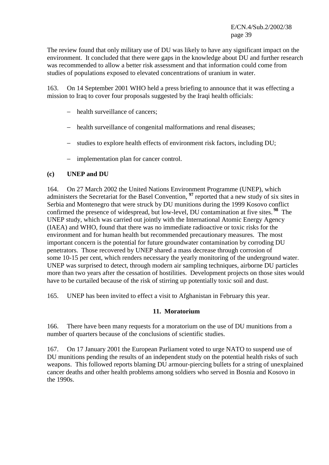The review found that only military use of DU was likely to have any significant impact on the environment. It concluded that there were gaps in the knowledge about DU and further research was recommended to allow a better risk assessment and that information could come from studies of populations exposed to elevated concentrations of uranium in water.

163. On 14 September 2001 WHO held a press briefing to announce that it was effecting a mission to Iraq to cover four proposals suggested by the Iraqi health officials:

- − health surveillance of cancers;
- − health surveillance of congenital malformations and renal diseases;
- − studies to explore health effects of environment risk factors, including DU;
- − implementation plan for cancer control.

#### **(c) UNEP and DU**

164. On 27 March 2002 the United Nations Environment Programme (UNEP), which administers the Secretariat for the Basel Convention, **<sup>97</sup>** reported that a new study of six sites in Serbia and Montenegro that were struck by DU munitions during the 1999 Kosovo conflict confirmed the presence of widespread, but low-level, DU contamination at five sites.**<sup>98</sup>** The UNEP study, which was carried out jointly with the International Atomic Energy Agency (IAEA) and WHO, found that there was no immediate radioactive or toxic risks for the environment and for human health but recommended precautionary measures. The most important concern is the potential for future groundwater contamination by corroding DU penetrators. Those recovered by UNEP shared a mass decrease through corrosion of some 10-15 per cent, which renders necessary the yearly monitoring of the underground water. UNEP was surprised to detect, through modern air sampling techniques, airborne DU particles more than two years after the cessation of hostilities. Development projects on those sites would have to be curtailed because of the risk of stirring up potentially toxic soil and dust.

165. UNEP has been invited to effect a visit to Afghanistan in February this year.

#### **11. Moratorium**

166. There have been many requests for a moratorium on the use of DU munitions from a number of quarters because of the conclusions of scientific studies.

167. On 17 January 2001 the European Parliament voted to urge NATO to suspend use of DU munitions pending the results of an independent study on the potential health risks of such weapons. This followed reports blaming DU armour-piercing bullets for a string of unexplained cancer deaths and other health problems among soldiers who served in Bosnia and Kosovo in the 1990s.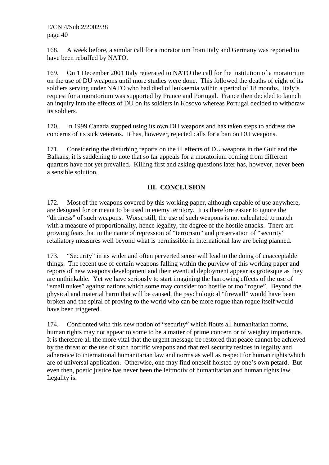168. A week before, a similar call for a moratorium from Italy and Germany was reported to have been rebuffed by NATO.

169. On 1 December 2001 Italy reiterated to NATO the call for the institution of a moratorium on the use of DU weapons until more studies were done. This followed the deaths of eight of its soldiers serving under NATO who had died of leukaemia within a period of 18 months. Italy's request for a moratorium was supported by France and Portugal. France then decided to launch an inquiry into the effects of DU on its soldiers in Kosovo whereas Portugal decided to withdraw its soldiers.

170. In 1999 Canada stopped using its own DU weapons and has taken steps to address the concerns of its sick veterans. It has, however, rejected calls for a ban on DU weapons.

171. Considering the disturbing reports on the ill effects of DU weapons in the Gulf and the Balkans, it is saddening to note that so far appeals for a moratorium coming from different quarters have not yet prevailed. Killing first and asking questions later has, however, never been a sensible solution.

## **III. CONCLUSION**

172. Most of the weapons covered by this working paper, although capable of use anywhere, are designed for or meant to be used in enemy territory. It is therefore easier to ignore the "dirtiness" of such weapons. Worse still, the use of such weapons is not calculated to match with a measure of proportionality, hence legality, the degree of the hostile attacks. There are growing fears that in the name of repression of "terrorism" and preservation of "security" retaliatory measures well beyond what is permissible in international law are being planned.

173. "Security" in its wider and often perverted sense will lead to the doing of unacceptable things. The recent use of certain weapons falling within the purview of this working paper and reports of new weapons development and their eventual deployment appear as grotesque as they are unthinkable. Yet we have seriously to start imagining the harrowing effects of the use of "small nukes" against nations which some may consider too hostile or too "rogue". Beyond the physical and material harm that will be caused, the psychological "firewall" would have been broken and the spiral of proving to the world who can be more rogue than rogue itself would have been triggered.

174. Confronted with this new notion of "security" which flouts all humanitarian norms, human rights may not appear to some to be a matter of prime concern or of weighty importance. It is therefore all the more vital that the urgent message be restored that peace cannot be achieved by the threat or the use of such horrific weapons and that real security resides in legality and adherence to international humanitarian law and norms as well as respect for human rights which are of universal application. Otherwise, one may find oneself hoisted by one's own petard. But even then, poetic justice has never been the leitmotiv of humanitarian and human rights law. Legality is.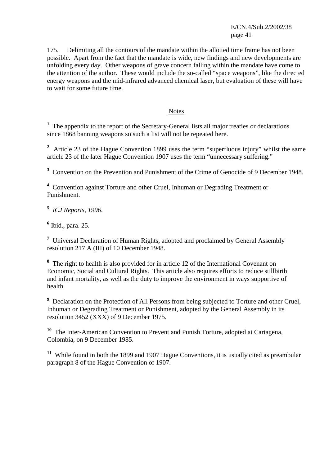175. Delimiting all the contours of the mandate within the allotted time frame has not been possible. Apart from the fact that the mandate is wide, new findings and new developments are unfolding every day. Other weapons of grave concern falling within the mandate have come to the attention of the author. These would include the so-called "space weapons", like the directed energy weapons and the mid-infrared advanced chemical laser, but evaluation of these will have to wait for some future time.

#### Notes

<sup>1</sup> The appendix to the report of the Secretary-General lists all major treaties or declarations since 1868 banning weapons so such a list will not be repeated here.

<sup>2</sup> Article 23 of the Hague Convention 1899 uses the term "superfluous injury" whilst the same article 23 of the later Hague Convention 1907 uses the term "unnecessary suffering."

<sup>3</sup> Convention on the Prevention and Punishment of the Crime of Genocide of 9 December 1948.

<sup>4</sup> Convention against Torture and other Cruel, Inhuman or Degrading Treatment or Punishment.

**5** *ICJ Reports, 1996*.

**6** Ibid., para. 25.

<sup>7</sup> Universal Declaration of Human Rights, adopted and proclaimed by General Assembly resolution 217 A (III) of 10 December 1948.

**8** The right to health is also provided for in article 12 of the International Covenant on Economic, Social and Cultural Rights. This article also requires efforts to reduce stillbirth and infant mortality, as well as the duty to improve the environment in ways supportive of health.

<sup>9</sup> Declaration on the Protection of All Persons from being subjected to Torture and other Cruel, Inhuman or Degrading Treatment or Punishment, adopted by the General Assembly in its resolution 3452 (XXX) of 9 December 1975.

**<sup>10</sup>** The Inter-American Convention to Prevent and Punish Torture, adopted at Cartagena, Colombia, on 9 December 1985.

**<sup>11</sup>** While found in both the 1899 and 1907 Hague Conventions, it is usually cited as preambular paragraph 8 of the Hague Convention of 1907.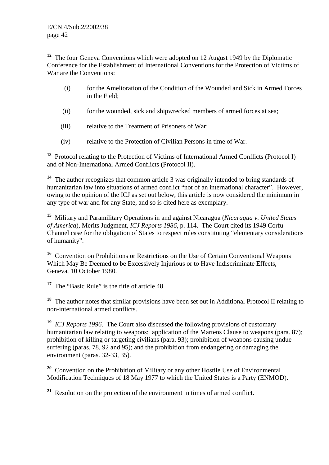<sup>12</sup> The four Geneva Conventions which were adopted on 12 August 1949 by the Diplomatic Conference for the Establishment of International Conventions for the Protection of Victims of War are the Conventions:

- (i) for the Amelioration of the Condition of the Wounded and Sick in Armed Forces in the Field;
- (ii) for the wounded, sick and shipwrecked members of armed forces at sea;
- (iii) relative to the Treatment of Prisoners of War;
- (iv) relative to the Protection of Civilian Persons in time of War.

**<sup>13</sup>** Protocol relating to the Protection of Victims of International Armed Conflicts (Protocol I) and of Non-International Armed Conflicts (Protocol II).

**<sup>14</sup>** The author recognizes that common article 3 was originally intended to bring standards of humanitarian law into situations of armed conflict "not of an international character". However, owing to the opinion of the ICJ as set out below, this article is now considered the minimum in any type of war and for any State, and so is cited here as exemplary.

**<sup>15</sup>** Military and Paramilitary Operations in and against Nicaragua (*Nicaragua v. United States of America*), Merits Judgment, *ICJ Reports 1986*, p. 114. The Court cited its 1949 Corfu Channel case for the obligation of States to respect rules constituting "elementary considerations of humanity".

**<sup>16</sup>** Convention on Prohibitions or Restrictions on the Use of Certain Conventional Weapons Which May Be Deemed to be Excessively Injurious or to Have Indiscriminate Effects, Geneva, 10 October 1980.

<sup>17</sup> The "Basic Rule" is the title of article 48.

**<sup>18</sup>** The author notes that similar provisions have been set out in Additional Protocol II relating to non-international armed conflicts.

**<sup>19</sup>** *ICJ Reports 1996*. The Court also discussed the following provisions of customary humanitarian law relating to weapons: application of the Martens Clause to weapons (para. 87); prohibition of killing or targeting civilians (para. 93); prohibition of weapons causing undue suffering (paras. 78, 92 and 95); and the prohibition from endangering or damaging the environment (paras. 32-33, 35).

**<sup>20</sup>** Convention on the Prohibition of Military or any other Hostile Use of Environmental Modification Techniques of 18 May 1977 to which the United States is a Party (ENMOD).

**<sup>21</sup>** Resolution on the protection of the environment in times of armed conflict.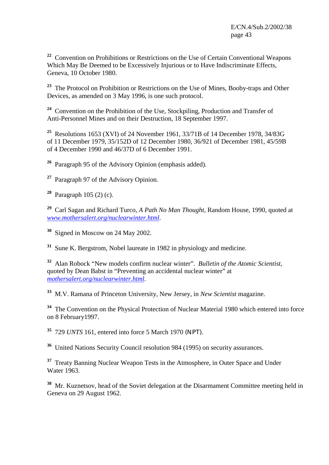**<sup>22</sup>** Convention on Prohibitions or Restrictions on the Use of Certain Conventional Weapons Which May Be Deemed to be Excessively Injurious or to Have Indiscriminate Effects, Geneva, 10 October 1980.

**<sup>23</sup>** The Protocol on Prohibition or Restrictions on the Use of Mines, Booby-traps and Other Devices, as amended on 3 May 1996, is one such protocol.

**<sup>24</sup>** Convention on the Prohibition of the Use, Stockpiling, Production and Transfer of Anti-Personnel Mines and on their Destruction, 18 September 1997.

**<sup>25</sup>** Resolutions 1653 (XVI) of 24 November 1961, 33/71B of 14 December 1978, 34/83G of 11 December 1979, 35/152D of 12 December 1980, 36/921 of December 1981, 45/59B of 4 December 1990 and 46/37D of 6 December 1991.

**<sup>26</sup>** Paragraph 95 of the Advisory Opinion (emphasis added).

- **<sup>27</sup>** Paragraph 97 of the Advisory Opinion.
- **<sup>28</sup>** Paragraph 105 (2) (c).

**<sup>29</sup>** Carl Sagan and Richard Turco, *A Path No Man Thought*, Random House, 1990, quoted at *www.mothersalert.org/nuclearwinter.html*.

**<sup>30</sup>** Signed in Moscow on 24 May 2002.

**<sup>31</sup>** Sune K. Bergstrom, Nobel laureate in 1982 in physiology and medicine.

**<sup>32</sup>** Alan Robock "New models confirm nuclear winter". *Bulletin of the Atomic Scientist*, quoted by Dean Babst in "Preventing an accidental nuclear winter" at *mothersalert.org/nuclearwinter.html*.

**<sup>33</sup>** M.V. Ramana of Princeton University, New Jersey, in *New Scientist* magazine.

<sup>34</sup> The Convention on the Physical Protection of Nuclear Material 1980 which entered into force on 8 February1997.

**<sup>35</sup>** 729 *UNTS* 161, entered into force 5 March 1970 (NPT).

**<sup>36</sup>** United Nations Security Council resolution 984 (1995) on security assurances.

**<sup>37</sup>** Treaty Banning Nuclear Weapon Tests in the Atmosphere, in Outer Space and Under Water 1963.

**<sup>38</sup>** Mr. Kuznetsov, head of the Soviet delegation at the Disarmament Committee meeting held in Geneva on 29 August 1962.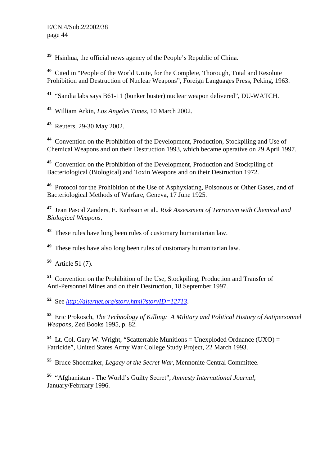Hsinhua, the official news agency of the People's Republic of China.

 Cited in "People of the World Unite, for the Complete, Thorough, Total and Resolute Prohibition and Destruction of Nuclear Weapons", Foreign Languages Press, Peking, 1963.

"Sandia labs says B61-11 (bunker buster) nuclear weapon delivered", DU-WATCH.

William Arkin, *Los Angeles Times*, 10 March 2002.

Reuters, 29-30 May 2002.

 Convention on the Prohibition of the Development, Production, Stockpiling and Use of Chemical Weapons and on their Destruction 1993, which became operative on 29 April 1997.

 Convention on the Prohibition of the Development, Production and Stockpiling of Bacteriological (Biological) and Toxin Weapons and on their Destruction 1972.

 Protocol for the Prohibition of the Use of Asphyxiating, Poisonous or Other Gases, and of Bacteriological Methods of Warfare, Geneva, 17 June 1925.

 Jean Pascal Zanders, E. Karlsson et al., *Risk Assessment of Terrorism with Chemical and Biological Weapons*.

These rules have long been rules of customary humanitarian law.

These rules have also long been rules of customary humanitarian law.

Article 51 (7).

 Convention on the Prohibition of the Use, Stockpiling, Production and Transfer of Anti-Personnel Mines and on their Destruction, 18 September 1997.

See *http://alternet.org/story.html?storyID=12713*.

 Eric Prokosch, *The Technology of Killing: A Military and Political History of Antipersonnel Weapons,* Zed Books 1995, p. 82.

 Lt. Col. Gary W. Wright, "Scatterrable Munitions = Unexploded Ordnance (UXO) = Fatricide", United States Army War College Study Project, 22 March 1993.

Bruce Shoemaker, *Legacy of the Secret War*, Mennonite Central Committee.

 "Afghanistan - The World's Guilty Secret", *Amnesty International Journal*, January/February 1996.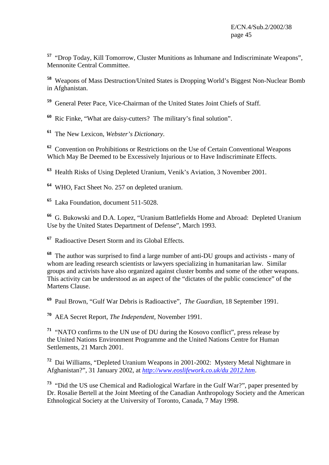**<sup>57</sup>** "Drop Today, Kill Tomorrow, Cluster Munitions as Inhumane and Indiscriminate Weapons", Mennonite Central Committee.

**<sup>58</sup>** Weapons of Mass Destruction/United States is Dropping World's Biggest Non-Nuclear Bomb in Afghanistan.

- **<sup>59</sup>** General Peter Pace, Vice-Chairman of the United States Joint Chiefs of Staff.
- **<sup>60</sup>** Ric Finke, "What are daisy-cutters? The military's final solution".
- **<sup>61</sup>** The New Lexicon, *Webster's Dictionary*.

**<sup>62</sup>** Convention on Prohibitions or Restrictions on the Use of Certain Conventional Weapons Which May Be Deemed to be Excessively Injurious or to Have Indiscriminate Effects.

**<sup>63</sup>** Health Risks of Using Depleted Uranium, Venik's Aviation, 3 November 2001.

**<sup>64</sup>** WHO, Fact Sheet No. 257 on depleted uranium.

**<sup>65</sup>** Laka Foundation, document 511-5028.

**<sup>66</sup>** G. Bukowski and D.A. Lopez, "Uranium Battlefields Home and Abroad: Depleted Uranium Use by the United States Department of Defense", March 1993.

**<sup>67</sup>** Radioactive Desert Storm and its Global Effects.

**<sup>68</sup>** The author was surprised to find a large number of anti-DU groups and activists - many of whom are leading research scientists or lawyers specializing in humanitarian law. Similar groups and activists have also organized against cluster bombs and some of the other weapons. This activity can be understood as an aspect of the "dictates of the public conscience" of the Martens Clause.

**<sup>69</sup>** Paul Brown, "Gulf War Debris is Radioactive", *The Guardian*, 18 September 1991.

**<sup>70</sup>** AEA Secret Report, *The Independent,* November 1991.

**<sup>71</sup>** "NATO confirms to the UN use of DU during the Kosovo conflict", press release by the United Nations Environment Programme and the United Nations Centre for Human Settlements, 21 March 2001.

**<sup>72</sup>** Dai Williams, "Depleted Uranium Weapons in 2001-2002: Mystery Metal Nightmare in Afghanistan?", 31 January 2002, at *http://www.eoslifework.co.uk/du 2012.htm*.

**<sup>73</sup>** "Did the US use Chemical and Radiological Warfare in the Gulf War?", paper presented by Dr. Rosalie Bertell at the Joint Meeting of the Canadian Anthropology Society and the American Ethnological Society at the University of Toronto, Canada, 7 May 1998.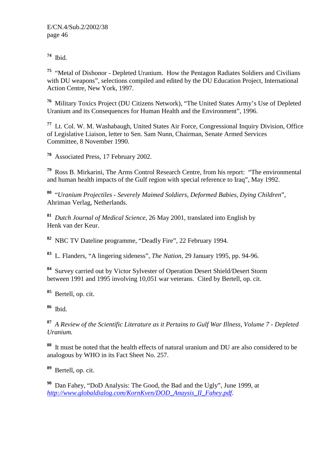**<sup>74</sup>** Ibid.

**<sup>75</sup>** "Metal of Dishonor - Depleted Uranium. How the Pentagon Radiates Soldiers and Civilians with DU weapons", selections compiled and edited by the DU Education Project, International Action Centre, New York, 1997.

**<sup>76</sup>** Military Toxics Project (DU Citizens Network), "The United States Army's Use of Depleted Uranium and its Consequences for Human Health and the Environment", 1996.

**<sup>77</sup>** Lt. Col. W. M. Washabaugh, United States Air Force, Congressional Inquiry Division, Office of Legislative Liaison, letter to Sen. Sam Nunn, Chairman, Senate Armed Services Committee, 8 November 1990.

**<sup>78</sup>** Associated Press, 17 February 2002.

**<sup>79</sup>** Ross B. Mirkarini, The Arms Control Research Centre, from his report: "The environmental and human health impacts of the Gulf region with special reference to Iraq", May 1992.

**<sup>80</sup>** "*Uranium Projectiles - Severely Maimed Soldiers, Deformed Babies, Dying Children*", Ahriman Verlag, Netherlands.

**<sup>81</sup>** *Dutch Journal of Medical Science*, 26 May 2001, translated into English by Henk van der Keur.

**<sup>82</sup>** NBC TV Dateline programme, "Deadly Fire", 22 February 1994.

**<sup>83</sup>** L. Flanders, "A lingering sideness", *The Nation,* 29 January 1995, pp. 94-96.

**<sup>84</sup>** Survey carried out by Victor Sylvester of Operation Desert Shield/Desert Storm between 1991 and 1995 involving 10,051 war veterans. Cited by Bertell, op. cit.

**<sup>85</sup>** Bertell, op. cit.

**<sup>86</sup>** Ibid.

**<sup>87</sup>** *A Review of the Scientific Literature as it Pertains to Gulf War Illness, Volume 7 - Depleted Uranium.* 

**<sup>88</sup>** It must be noted that the health effects of natural uranium and DU are also considered to be analogous by WHO in its Fact Sheet No. 257.

**<sup>89</sup>** Bertell, op. cit.

**<sup>90</sup>** Dan Fahey, "DoD Analysis: The Good, the Bad and the Ugly", June 1999, at *http://www.globaldialog.com/KornKven/DOD\_Anaysis\_II\_Fahey.pdf*.